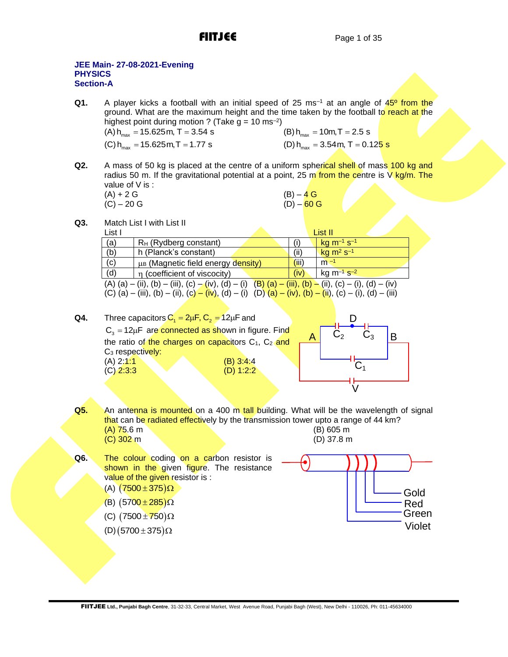# **JEE Main- 27-08-2021-Evening PHYSICS Section-A**

**Q1.** A player kicks a football with an initial speed of 25 ms<sup>-1</sup> at an angle of 45<sup>o</sup> from the ground. What are the maximum height and the time taken by the football to reach at the highest point during motion ? (Take g = 10 ms<sup>–2</sup>)<br>(A) h<sub>max</sub> = 15.625m, T = 3.54 s

| (A) $h_{max}$ = 15.625 m, T = 3.54 s | (B) $h_{\text{max}} = 10$ m, T = 2.5 s                   |
|--------------------------------------|----------------------------------------------------------|
| (C) $h_{max}$ = 15.625 m, T = 1.77 s | (D) h <sub>max</sub> = 3.54 m, T = 0.12 <mark>5 s</mark> |

 $Q2.$ A mass of 50 kg is placed at the centre of a uniform spherical shell of mass 100 kg and radius 50 m. If the gravitational potential at a point, 25 m from the centre is  $V$  kg/m. The value of V is :

| $(A) + 2 G$  | $(B) - 4 G$  |
|--------------|--------------|
| $(C) - 20 G$ | $(D) - 60 G$ |

**Q3.** Match List I with List II

List I List II and the control of the control of the control of the control of the control of the control of the control of the control of the control of the control of the control of the control of the control of the cont (a)  $\left| \right|$  R<sub>H</sub> (Rydberg constant) (i)  $kg m<sup>-1</sup> s<sup>-1</sup>$ (b) h (Planck's constant)<br>
(c) us (Magnetic field energy density) (iii) m<sup>-1</sup>  $kg m<sup>2</sup> s<sup>-1</sup>$ (c)  $\vert$   $\mu$ <sub>B</sub> (Magnetic field energy density)  $\vert$  (iii) (d)  $\vert \eta \vert$  (coefficient of viscocity)  $\vert \frac{\vert \dot{v} \vert}{\vert \dot{v} \vert}$  $kg m<sup>-1</sup> s<sup>-2</sup>$ (A) (a) – (ii), (b) – (iii), (c) – (iv), (d) – (i) (B) (a) – (iii), (b) – (ii), (c) – (i), (d) – (iv) (C) (a) – (iii), (b) – (ii), (c) – (iv), (d) – (i) (D) (a) – (iv), (b) – (ii), (c) – (i), (d) – (iii)

- **Q4.** Three capacitors  $C_1 = 2\mu F$ ,  $C_2 = 12\mu F$  and  $\mathsf{C}_3^{}$  = 12 $\mu$ F are connected as shown in figure. Find the ratio of the charges on capacitors  $C_1$ ,  $C_2$  and C<sub>3</sub> respectively: (A) 2:1:1 (B) 3:4:4 (C) 2:3:3 (D) 1:2:2  $\begin{array}{|c|c|c|c|c|c|}\n\hline\nA & C_2 & C_3 & B\n\end{array}$  $C_1$ V D
- **Q5.** An antenna is mounted on a 400 m tall building. What will be the wavelength of signal that can be radiated effectively by the transmission tower upto a range of 44 km?<br>(A) 75.6 m  $(A)$  75.6 m (C) 302 m (D) 37.8 m
- Q6. The colour coding on a carbon resistor is shown in the given figure. The resistance value of the given resistor is : (A)  $(7500 \pm 375)$  $\Omega$ 
	- (B)  $(5700 \pm 285)$  $\Omega$
	- (C)  $(7500 \pm 750)$  $\Omega$
	- $(D)$  (5700  $\pm$  375) $\Omega$

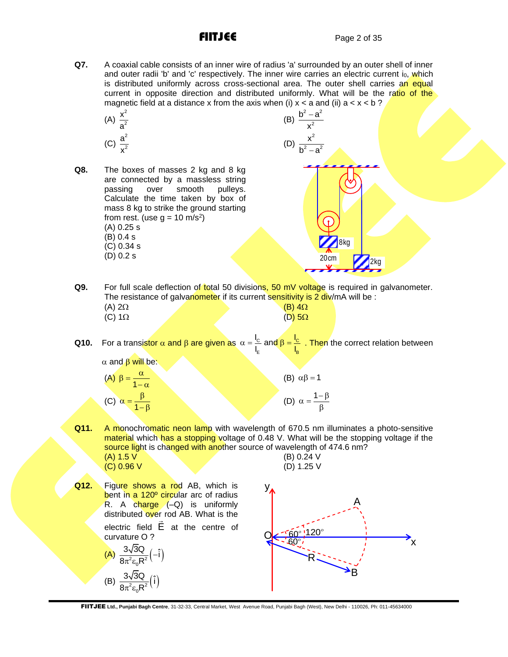**Q7.** A coaxial cable consists of an inner wire of radius 'a' surrounded by an outer shell of inner and outer radii 'b' and 'c' respectively. The inner wire carries an electric current i<sub>0</sub>, which is distributed uniformly across cross-sectional area. The outer shell carries an equal current in opposite direction and distributed uniformly. What will be the ratio of the magnetic field at a distance x from the axis when (i)  $x < a$  and (ii)  $a < x < b$ ?

(A) 
$$
\frac{x^2}{a^2}
$$
  
(C)  $\frac{a^2}{x^2}$ 

x

**Q8.** The boxes of masses 2 kg and 8 kg are connected by a massless string<br>passing over smooth pullevs. over smooth pulleys. Calculate the time taken by box of mass 8 kg to strike the ground starting from rest. (use  $g = 10 \text{ m/s}^2$ ) (A) 0.25 s (B) 0.4 s (C) 0.34 s (D) 0.2 s

(B) 
$$
\frac{b^2 - a^2}{x^2}
$$
  
\n(D) 
$$
\frac{x^2}{b^2 - a^2}
$$
  
\nEVALUATE: 100

**Q9.** For full scale deflection of total 50 divisions, 50 mV voltage is required in galvanometer. The resistance of galvanometer if its current sensitivity is 2 div/mA will be :<br>(A) 2Q (A)  $2\Omega$  (B)  $4\Omega$ 

| $(M)$ 252     |  | $(D)$ 452        |
|---------------|--|------------------|
| (C) $1\Omega$ |  | $(D)$ 5 $\Omega$ |
|               |  |                  |

**Q10.** For a transistor  $\alpha$  and  $\beta$  are given as  $\alpha = \frac{c}{r}$  and  $\beta = \frac{c}{r}$ E <mark>'B</mark>  $\alpha = \frac{I_c}{I_E}$  and  $\beta = \frac{I_c}{I_B}$ . Then the correct relation between

 $\alpha$  and  $\beta$  will be:  $\alpha$ 

(A) 
$$
\beta = \frac{a}{1 - \alpha}
$$
  
(C)  $\alpha = \frac{\beta}{1 - \beta}$ 

(B)  $\alpha\beta = 1$ (D)  $\alpha = \frac{1-\beta}{\beta}$ 

- **Q11.** A monochromatic neon lamp with wavelength of 670.5 nm illuminates a photo-sensitive material which has a stopping voltage of 0.48 V. What will be the stopping voltage if the source light is changed with another source of wavelength of 474.6 nm? (A) 1.5 V (B) 0.24 V
	- (C) 0.96 V (D) 1.25 V

**Q12.** Figure shows a rod AB, which is bent in a 120<sup>°</sup> circular arc of radius R. A charge (-Q) is uniformly distributed over rod AB. What is the electric field E at the centre of curvature O ?

(A) 
$$
\frac{3\sqrt{3}Q}{8\pi^2 \varepsilon_0 R^2}(-\hat{i})
$$
  
(B) 
$$
\frac{3\sqrt{3}Q}{8\pi^2 \varepsilon_0 R^2}(\hat{i})
$$

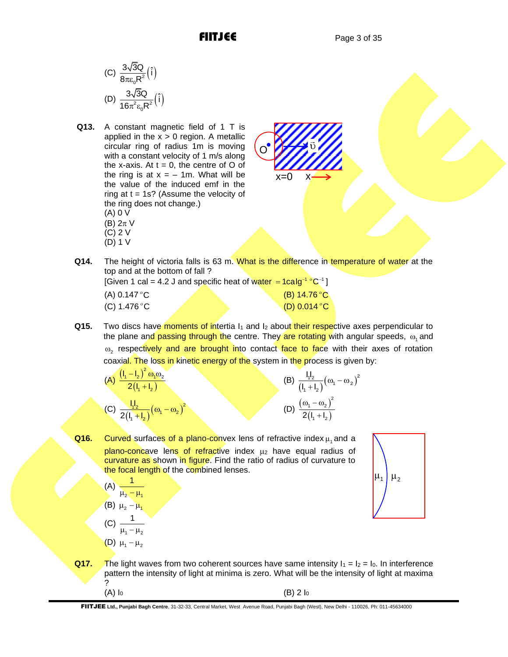(C) 
$$
\frac{3\sqrt{3Q}}{8\pi\varepsilon_0R^2}(\hat{i})
$$
  
(D) 
$$
\frac{3\sqrt{3Q}}{16\pi^2\varepsilon_0R^2}(\hat{i})
$$

**Q13.** A constant magnetic field of 1 T is applied in the  $x > 0$  region. A metallic circular ring of radius 1m is moving with a constant velocity of 1 m/s along the x-axis. At  $t = 0$ , the centre of O of the ring is at  $x = -1$ m. What will be the value of the induced emf in the ring at  $t = 1s$ ? (Assume the velocity of the ring does not change.) (A) 0 V (B)  $2\pi$  V (C) 2 V (D) 1 V



**Q14.** The height of victoria falls is 63 m. What is the difference in temperature of water at the top and at the bottom of fall ?

|              | [Given 1 cal = 4.2 J and specific heat of water = $1$ calg <sup>-1</sup> °C <sup>-1</sup> ] |
|--------------|---------------------------------------------------------------------------------------------|
| (A) 0.147 °C | (B) $14.76^{\circ}$ C                                                                       |
| (C) 1.476 °C | (D) $0.014$ °C                                                                              |

**Q15.** Two discs have moments of intertia I<sub>1</sub> and I<sub>2</sub> about their respective axes perpendicular to the plane and passing through the centre. They are rotating with angular speeds,  $\omega_\text{\tiny{1}}$  and  $\omega_{2}$  respectively and are brought into contact face to face with their axes of rotation coaxial. The loss in kinetic energy of the system in the process is given by:

(A) 
$$
\frac{(l_1 - l_2)^2 \omega_1 \omega_2}{2(l_1 + l_2)}
$$
  
(C) 
$$
\frac{l_1 l_2}{2(l_1 + l_2)} (\omega_1 - \omega_2)^2
$$

(B) 
$$
\frac{l_1 l_2}{(l_1 + l_2)} (\omega_1 - \omega_2)^2
$$
  
(D) 
$$
\frac{(\omega_1 - \omega_2)^2}{2(l_1 + l_2)}
$$

**Q16.** Curved surfaces of a plano-convex lens of refractive index  $\mu$ <sub>1</sub> and a  $plane-concave$  lens of refractive index  $\mu_2$  have equal radius of curvature as shown in figure. Find the ratio of radius of curvature to the focal length of the combined lenses.

$$
(A) \frac{1}{\mu_2 - \mu_1}
$$

$$
\begin{array}{cc} \text{(B)} & \mu_2 - \mu_1 \\ \text{(C)} & 1 \end{array}
$$

(C) 
$$
\frac{1}{\mu_1 - \mu_2}
$$
  
(D)  $\mu_1 - \mu_2$ 



**Q17.** The light waves from two coherent sources have same intensity  $I_1 = I_2 = I_0$ . In interference pattern the intensity of light at minima is zero. What will be the intensity of light at maxima ?  $(A) I_0$  (B) 2  $I_0$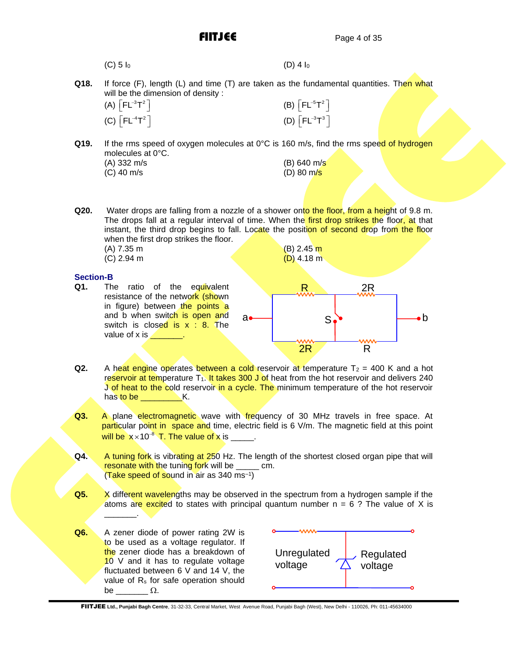| $(C)$ 5 $I_0$ | $(D)$ 4 $I_0$ |
|---------------|---------------|
|---------------|---------------|

**Q18.** If force (F), length (L) and time (T) are taken as the fundamental quantities. Then what will be the dimension of density :

| (A) $\lceil FL^{-3}T^2 \rceil$ |  |
|--------------------------------|--|
| (C) $\lceil FL^{-4}T^2 \rceil$ |  |

**Q19.** If the rms speed of oxygen molecules at 0°C is 160 m/s, find the rms speed of hydrogen molecules at 0°C.

|  | (A) 332 m/s                            |
|--|----------------------------------------|
|  | $($ $\cap$ $\Lambda$ $\cap$ $m$ $\sim$ |

(B)  $640 \text{ m/s}$ (C) 40 m/s (D) 80 m/s

 $(B)$   $\left[ FL^{-5}T^2 \right]$ 

 $(D)$   $\left[ FL^{-3}T^{3} \right]$ 

**Q20.** Water drops are falling from a nozzle of a shower onto the floor, from a height of 9.8 m. The drops fall at a regular interval of time. When the first drop strikes the floor, at that instant, the third drop begins to fall. Locate the position of second drop from the floor when the first drop strikes the floor.

(A) 7.35 m (B) 2.45 m (B) 2.45 m (B) 2.45 m  $(C)$  2.94 m

# **Section-B**

**Q1.** The ratio of the equivalent resistance of the network (shown in figure) between the points a and b when switch is open and switch is closed is  $x : 8$ . The value of  $x$  is  $\qquad \qquad$ .



- **Q2.** A heat engine operates between a cold reservoir at temperature  $T_2 = 400$  K and a hot reservoir at temperature  $T_1$ . It takes 300 J of heat from the hot reservoir and delivers 240 J of heat to the cold reservoir in a cycle. The minimum temperature of the hot reservoir has to be **All Accord K.**
- **Q3.** A plane electromagnetic wave with frequency of 30 MHz travels in free space. At particular point in space and time, electric field is 6 V/m. The magnetic field at this point  $\frac{1}{2}$  will be  $x \times 10^{-8}$  T. The value of x is \_\_\_\_\_.
- **Q4.** A tuning fork is vibrating at 250 Hz. The length of the shortest closed organ pipe that will resonate with the tuning fork will be cm. (Take speed of sound in air as 340 ms<sup>-1</sup>)
- **Q5.** X different wavelengths may be observed in the spectrum from a hydrogen sample if the atoms are excited to states with principal quantum number  $n = 6$  ? The value of X is \_\_\_\_\_\_\_.
- **Q6.** A zener diode of power rating 2W is to be used as a voltage regulator. If the zener diode has a breakdown of 10 V and it has to regulate voltage fluctuated between 6 V and 14 V, the value of  $R_s$  for safe operation should be  $\Omega$ .

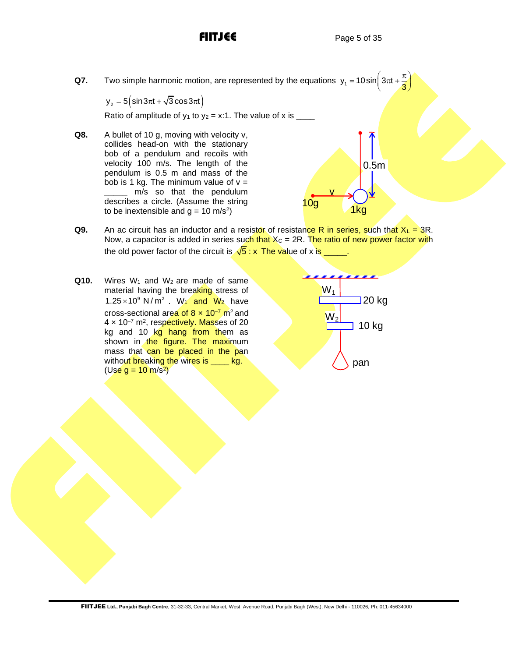**Q7.** Two simple harmonic motion, are represented by the equations  $y_1 = 10 \sin \left( 3\pi t + \frac{\pi}{3} \right)$ Two simple harmonic motion, are represented by the equations  $y_1 = 10 \sin \left(3\pi t + \frac{\pi}{3}\right)$ <br>  $y_2 = 5 \left(\sin 3\pi t + \sqrt{3} \cos 3\pi t\right)$ 

Ratio of amplitude of  $y_1$  to  $y_2 = x:1$ . The value of x is

**Q8.** A bullet of 10 g, moving with velocity v, collides head-on with the stationary bob of a pendulum and recoils with velocity 100 m/s. The length of the pendulum is 0.5 m and mass of the bob is 1 kg. The minimum value of  $v =$  $\frac{m}{s}$  so that the pendulum describes a circle. (Assume the string to be inextensible and  $g = 10 \text{ m/s}^2$ )



- **Q9.** An ac circuit has an inductor and a resistor of resistance R in series, such that  $X_L = 3R$ . Now, a capacitor is added in series such that  $X<sub>C</sub> = 2R$ . The ratio of new power factor with the old power factor of the circuit is  $\sqrt{5}$  : x The value of x is \_\_\_\_\_.
- **Q10.** Wires W<sub>1</sub> and W<sub>2</sub> are made of same material having the breaking stress of 1.25 $\times$ 10<sup>9</sup> N/m<sup>2</sup>. W<sub>1</sub> and W<sub>2</sub> have cross-sectional area of  $8 \times 10^{-7}$  m<sup>2</sup> and 4 x 10<sup>-7</sup> m<sup>2</sup>, respectively. Masses of 20 kg and 10 kg hang from them as shown in the figure. The maximum mass that can be placed in the pan without breaking the wires is \_\_\_\_ kg. (Use  $g = 10 \text{ m/s}^2$ )

$$
\begin{array}{c|c}\n & \mathbf{W}_1 \\
 & \mathbf{W}_2 \\
 & \mathbf{10} \text{ kg} \\
 & \mathbf{p}\n\end{array}
$$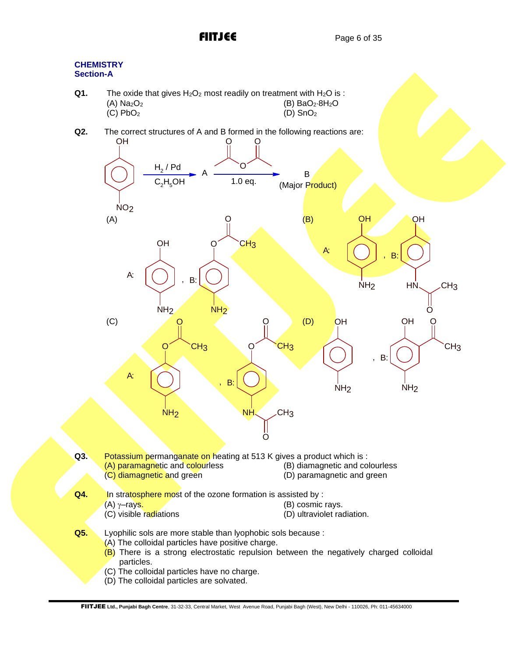# **CHEMISTRY Section-A**

- **Q1.** The oxide that gives  $H_2O_2$  most readily on treatment with  $H_2O$  is : (A)  $Na_2O_2$  (B)  $BaO_2 \cdot 8H_2O$ <br>(C)  $PbO_2$  (D)  $SnO_2$  $(C)$  PbO<sub>2</sub>
- 

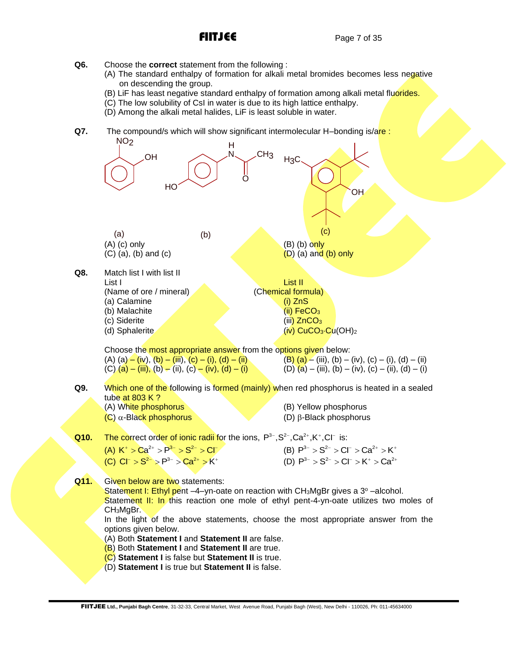- **Q6.** Choose the **correct** statement from the following :
	- (A) The standard enthalpy of formation for alkali metal bromides becomes less negative on descending the group.
	- (B) LiF has least negative standard enthalpy of formation among alkali metal fluorides.
	- (C) The low solubility of CsI in water is due to its high lattice enthalpy.
	- (D) Among the alkali metal halides, LiF is least soluble in water.
- **Q7.** The compound/s which will show significant intermolecular H–bonding is/are:

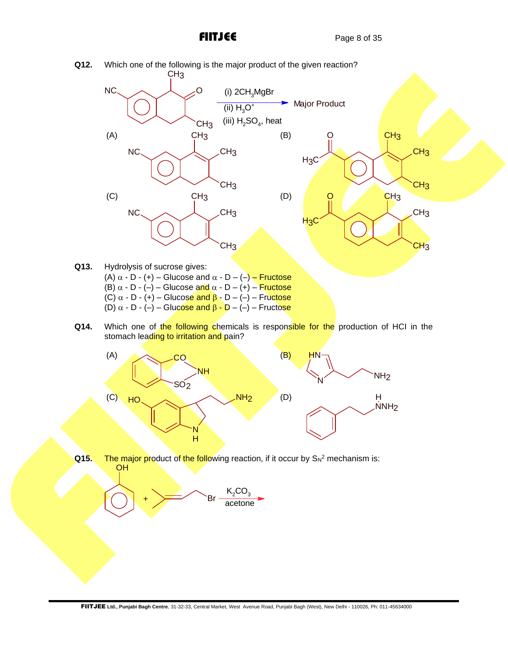

- (A)  $\alpha$  D (+) Glucose and  $\alpha$  D (–) Fructose (B)  $\alpha$  - D - (-) – Glucose and  $\alpha$  - D – (+) – Fructose (C)  $\alpha$  - D - (+) – Glucose and  $\beta$  - D – (–) – Fructose (D)  $\alpha$  - D - (-) – Glucose and  $\beta$  - D – (-) – Fructose
- **Q14.** Which one of the following chemicals is responsible for the production of HCI in the stomach leading to irritation and pain?



**Q15.** The major product of the following reaction, if it occur by S<sub>N</sub><sup>2</sup> mechanism is: OH

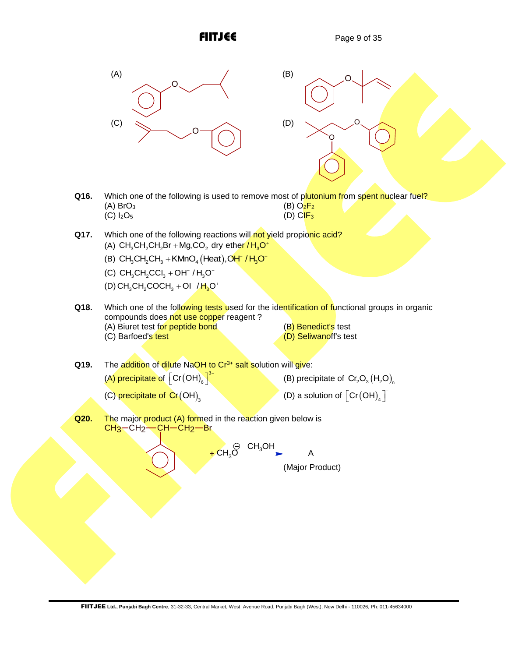O

O

O



- **Q16.** Which one of the following is used to remove most of plutonium from spent nuclear fuel? (A) BrO<sub>3</sub> (B) O<sub>2</sub>F<sub>2</sub> (B) O<sub>2</sub>F<sub>2</sub> (B) O<sub>2</sub>F<sub>2</sub>  $(C)$   $I<sub>2</sub>O<sub>5</sub>$
- **Q17.** Which one of the following reactions will not yield propionic acid? Which one of the following reactions will <mark>not</mark><br>(A) CH<sub>3</sub>CH<sub>2</sub>CH<sub>2</sub>Br + Mg,CO<sub>2</sub> dry ether <mark>/ H<sub>3</sub>O</mark> +Mg,CO<sub>2</sub> dry ether / H<sub>3</sub>O<sup>+</sup> (A) CH<sub>3</sub>CH<sub>2</sub>CH<sub>2</sub>Br + Mg,CO<sub>2</sub> dry ether / H<sub>3</sub>O\*<br>(B) CH<sub>3</sub>CH<sub>2</sub>CH<sub>3</sub> + KMnO<sub>4</sub> (Heat),O<mark>H / H<sub>3</sub>O\*</mark>
	-
	- $(C) CH_{3}CH_{2}CCl_{3} + OH^{-}/H_{3}O^{+}$
	- $(D) CH<sub>3</sub>CH<sub>2</sub>COCH<sub>3</sub> + OI<sup>-</sup>/H<sub>3</sub>O<sup>+</sup>$
- **Q18.** Which one of the following tests used for the identification of functional groups in organic compounds does not use copper reagent? (A) Biuret test for peptide bond (B) Benedict's test<br>(C) Barfoed's test (C) Beliwanoff's test  $(D)$  Seliwanoff's test
- Q19. The addition of dilute NaOH to Cr<sup>3+</sup> salt solution will give:
	- (A) precipitate of  $\left[\text{Cr(OH)}_{\text{e}}\right]^3$  $\left[\mathsf{Cr}\!\left(\mathsf{OH}\right)_{\!6}\right]^{3-}$

(B) precipitate of  $Cr_2O_3(H_2O)$ <sub>n</sub>

(C) precipitate of  $\mathsf{Cr}\big(\mathsf{OH}\big)_3$ 

- (D) a solution of  $\left[ \text{Cr}(\text{OH})_{_4} \right]^{-1}$
- **Q20.** The major product (A) formed in the reaction given below is  $CH<sub>3</sub>-CH<sub>2</sub>-CH-CH<sub>2</sub>-Br$

 $CH_{3}OH$  $+$  CH<sub>3</sub>O (Major Product) A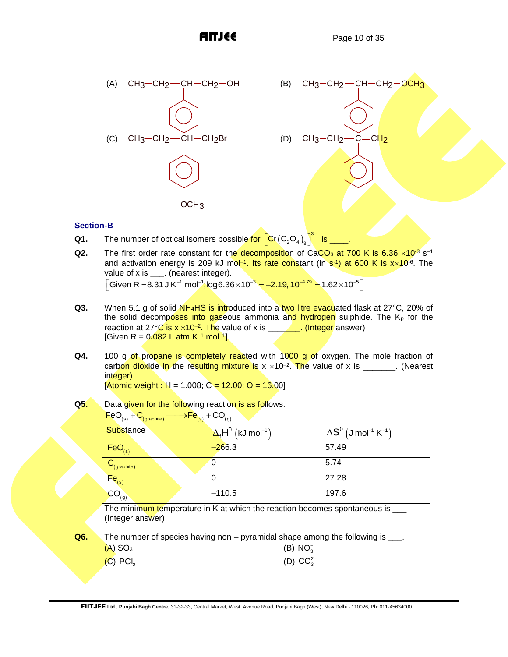

# **Section-B**

- **Q1.** The number of optical isomers possible for  $\left[ \text{Cr} (C_2O_4) \right]$  $\left[\mathsf{Cr}\!\left(\mathsf{C}_2\mathsf{O}_4\right)_3\right]^{3-}$  is \_\_\_\_.
- Q2. The first order rate constant for the decomposition of CaCO<sub>3</sub> at 700 K is 6.36 ×10<sup>-3</sup> s<sup>-1</sup> and activation energy is 209 kJ mol<sup>-1</sup>. Its rate constant (in s<sup>-1</sup>) at 600 K is x×10<sup>-6</sup>. The value of x is \_\_\_\_. (nearest integer).  $\sqrt{\frac{1}{100}}$  Given R = 8.31 J K<sup>-1</sup> mol<sup>-1</sup>;log6.36 × 10<sup>-3</sup> =  $-2.19$ , 10<sup>-4.79</sup> = 1.62 × 10<sup>-5</sup>
- Q3. When 5.1 g of solid NH<sub>4</sub>HS is introduced into a two litre evacuated flask at 27°C, 20% of the solid decomposes into gaseous ammonia and hydrogen sulphide. The  $K<sub>p</sub>$  for the reaction at 27°C is x ×10<sup>-2</sup>. The value of x is \_\_\_\_\_\_\_\_. (Integer answer) [Given R = 0**.**082 L atm K–1 mol–1 ]
- **Q4.** 100 g of propane is completely reacted with 1000 g of oxygen. The mole fraction of carbon dioxide in the resulting mixture is x  $\times 10^{-2}$ . The value of x is \_\_\_\_\_\_\_. (Nearest integer)

 $[Atomic weight : H = 1.008; C = 12.00; O = 16.00]$ 

**Q5.** Data given for the following reaction is as follows:

| <b>Substance</b>                 | $\Delta_{\epsilon}H^0$ (kJ mol <sup>-1</sup> ) | $\Delta S^0$ (J mol <sup>-1</sup> K <sup>-1</sup> ) |
|----------------------------------|------------------------------------------------|-----------------------------------------------------|
| $FeO_{(s)}$                      | $-266.3$                                       | 57.49                                               |
| $\mathbf{C}_{(\text{graphite})}$ |                                                | 5.74                                                |
| $Fe$ <sub>(s)</sub>              |                                                | 27.28                                               |
| CO <sub>(g)</sub>                | $-110.5$                                       | 197.6                                               |

 $\overline{F}eO_{(s)} + C_{(arabite)} \longrightarrow \overline{Fe}_{(s)} + CO_{(q)}$ 

The minimum temperature in K at which the reaction becomes spontaneous is \_\_\_ (Integer answer)

**Q6.** The number of species having non – pyramidal shape among the following is \_\_\_.

| $(A)$ SO <sub>3</sub>  | (B) $NO_3^-$    |
|------------------------|-----------------|
| $(C)$ PCI <sub>3</sub> | (D) $CO_3^{2-}$ |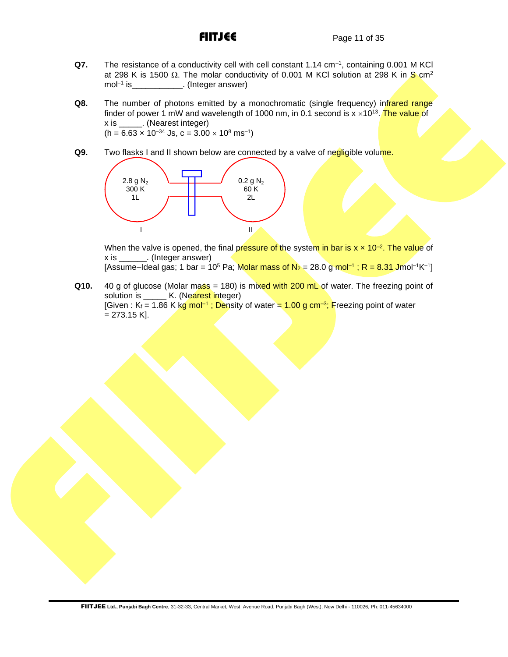- **Q7.** The resistance of a conductivity cell with cell constant 1.14 cm–1 , containing 0.001 M KCl at 298 K is 1500  $\Omega$ . The molar conductivity of 0.001 M KCl solution at 298 K in S cm<sup>2</sup> mol–1 is\_\_\_\_\_\_\_\_\_\_\_. (Integer answer)
- **Q8.** The number of photons emitted by a monochromatic (single frequency) infrared range finder of power 1 mW and wavelength of 1000 nm, in 0.1 second is  $x \times 10^{13}$ . The value of x is \_\_\_\_\_. (Nearest integer)  $(h = 6.63 \times 10^{-34}$  Js,  $c = 3.00 \times 10^8$  ms<sup>-1</sup>)
- **Q9.** Two flasks I and II shown below are connected by a valve of negligible volume.



When the valve is opened, the final pressure of the system in bar is x **x** 10<sup>–2</sup>. The value of x is \_\_\_\_\_\_. (Integer answer) [Assume–Ideal gas; 1 bar = 10<sup>5</sup> Pa; <mark>Molar mass of N<sub>2</sub> =</mark> 28.0 g <mark>mol<sup>–1</sup> ; R = 8.31 J</mark>mol<sup>–1</sup>K<sup>–1</sup>]

**Q10.** 40 g of glucose (Molar mass  $= 180$ ) is mixed with 200 mL of water. The freezing point of solution is **K.** (Nearest integer) [Given : K<sub>f</sub> = 1.86 K kg mol<sup>–1</sup> ; Density of water = <mark>1.00 g cm<sup>–3</sup>; F</mark>reezing point of water  $= 273.15$  K].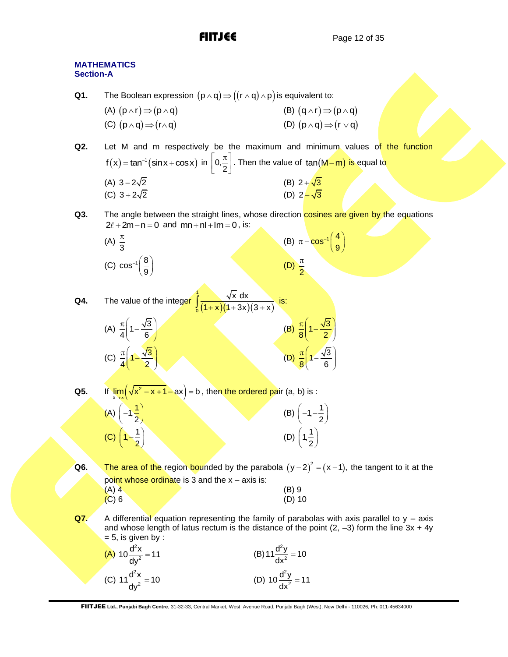(B)  $(q \wedge r) \Rightarrow (p \wedge q)$ 

(D)  $(p \land q) \Rightarrow (r \lor q)$ 

9

# **MATHEMATICS Section-A Q1.** The Boolean expression  $(p \wedge q)$   $\Rightarrow$   $((r \wedge q) \wedge p)$  is equivalent to: (A)  $(p \wedge r) \Rightarrow (p \wedge q)$ (C)  $(p \wedge q) \Rightarrow (r \wedge q)$ **Q2.** Let M and m respectively be the maximum and minimum values of the function

 $f(x) = \tan^{-1}(\sin x + \cos x)$  in  $\left[0, \frac{\pi}{2}\right]$  $\left\lfloor 0, \frac{\pi}{2} \right\rfloor$ . Then the value of  $\tan(M-m)$  is equal to  $(A)$  3−2√2 (B)  $2 + \sqrt{3}$ (C)  $3 + 2\sqrt{2}$ (D)  $2 - \sqrt{3}$ 

 $\left| \right|$   $\pi$ 

**Q3.** The angle between the straight lines, whose direction **cosines are given by the equations**  $2\ell + 2m - n = 0$  and  $mn + nl + lm = 0$ , is:

(A) 
$$
\frac{\pi}{3}
$$
  
\n(B)  $\pi - \cos^{-1}\left(\frac{4}{9}\right)$   
\n(C)  $\cos^{-1}\left(\frac{8}{9}\right)$   
\n(D)  $\frac{\pi}{2}$ 

Q4. The value of the integer 
$$
\int_0^1 \frac{\sqrt{x} dx}{(1+x)(1+3x)(3+x)}
$$
 is:  
\n(A)  $\frac{\pi}{4} \left(1 - \frac{\sqrt{3}}{6}\right)$   
\n(B)  $\frac{\pi}{8} \left(1 - \frac{\sqrt{3}}{2}\right)$   
\n(C)  $\frac{\pi}{4} \left(1 - \frac{\sqrt{3}}{2}\right)$   
\n(D)  $\frac{\pi}{8} \left(1 - \frac{\sqrt{3}}{6}\right)$ 

**Q5.** If

 $(\sqrt{{\sf x}^2-{\sf x}+1}-{\sf a}{\sf x})$  :  $\displaystyle \lim_{x\to\infty}\hspace{-1mm}\left(\textstyle\sqrt{x^2-x+1}-ax\right)=b$  , then the ordered pair (a, b) is :

| (A) $\left(-1, \frac{1}{2}\right)$ | (B) $\left(-1, -\frac{1}{2}\right)$ |
|------------------------------------|-------------------------------------|
| (C) $\left(1, -\frac{1}{2}\right)$ | (D) $\left(1, \frac{1}{2}\right)$   |

Q6. The area of the region bounded by the parabola  $(y-2)^2 = (x-1)$ , the tangent to it at the point whose ordinate is 3 and the  $x - a$ xis is:  $(A)$  4 (B) 9  $(A)$  4 (B) 9 (D) 10

**Q7.** A differential equation representing the family of parabolas with axis parallel to y – axis and whose length of latus rectum is the distance of the point  $(2, -3)$  form the line  $3x + 4y$  $= 5$ , is given by :

| (A) $10 \frac{d^2x}{dy^2} = 11$ | (B) $11 \frac{d^2y}{dx^2} = 10$ |
|---------------------------------|---------------------------------|
| (C) $11 \frac{d^2x}{dy^2} = 10$ | (D) $10 \frac{d^2y}{dx^2} = 11$ |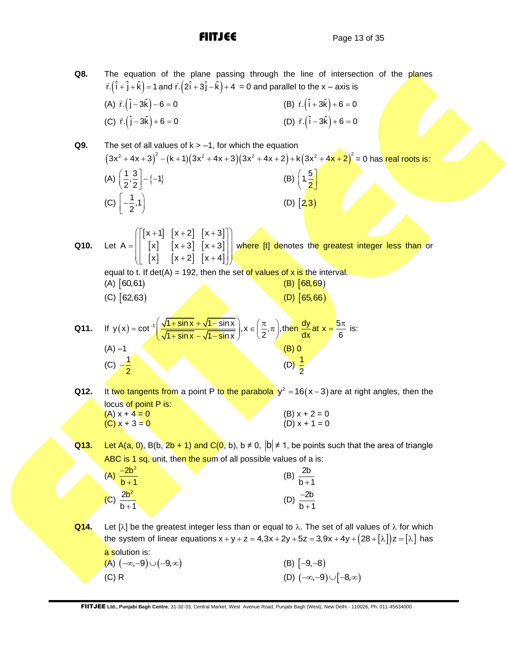**Q8.** The equation of the plane passing through the line of intersection of the planes The equation or the plane passing through the line or intersed<br> $\vec{r}$ . $(\hat{i} + \hat{j} + \hat{k}) = 1$  and  $\vec{r}$ . $(2\hat{i} + 3\hat{j} - \hat{k}) + 4 = 0$  and parallel to the x – axis is (A)  $\vec{r} \cdot (\hat{j} - 3\hat{k}) - 6 = 0$ (B)  $\vec{r} \cdot (\hat{i} + 3\hat{k}) + 6 = 0$  $(C) \vec{r} \cdot (\hat{j} - 3\hat{k}) + 6 = 0$ (D)  $\vec{r} \cdot (\hat{i} - 3\hat{k}) + 6 = 0$ **Q9.** The set of all values of k > –1, for which the equation The set of all values of k > -1, for which the equation<br> $(3x^2 + 4x + 3)^2 - (k + 1)(3x^2 + 4x + 3)(3x^2 + 4x + 2) + k(3x^2 + 4x + 2)^2 = 0$  has real roots is: (A)  $\left(\frac{1}{2}, \frac{3}{2}\right] - \{-1\}$  $\left(\frac{1}{2},\frac{3}{2}\right)-(-$ (B)  $\left( 1, \frac{5}{2} \right)$ (C)  $\left[-\frac{1}{2},1\right]$  $\left[-\frac{1}{2},1\right]$  $(D)$   $(2,3)$ **Q10.** Let  $\begin{bmatrix} x+1 \\ x+2 \end{bmatrix}$   $\begin{bmatrix} x+3 \\ x+3 \end{bmatrix}$  $\begin{bmatrix} x \\ x \end{bmatrix}$   $\begin{bmatrix} x+3 \\ x+3 \end{bmatrix}$  $|x|$   $|x+2|$   $|x+4|$  $x+1$ ]  $[x+2]$   $[x+3]$  $A = \begin{bmatrix} 1 & x & y & z \\ 0 & x & z & z \\ 0 & 0 & x & z \end{bmatrix}$   $\begin{bmatrix} x + 3 & x + z & z \\ x + 3 & z & z \end{bmatrix}$  $x$   $[x+2]$   $[x+4]$  $\left( \begin{bmatrix} x+1 \\ x \end{bmatrix} \begin{bmatrix} x+2 \\ x+3 \end{bmatrix} \begin{bmatrix} x+3 \\ x+3 \end{bmatrix} \right)$  $=\left[\begin{bmatrix} x \\ x \end{bmatrix} \begin{bmatrix} x+3 \\ x+2 \end{bmatrix} \begin{bmatrix} x+4 \end{bmatrix} \right]$  which is the set of  $[x+3]$  and  $[x+4]$ where [t] denotes the greatest integer less than or equal to t. If det(A) = 192, then the set of values of x is the interval. (A) 60,61)  $(B)$   $[68, 69)$ (C) 62,63) (D) 65,66) **Q11.**  $y(x) = \cot^{-1}\left(\frac{\sqrt{1 + \sin x} + \sqrt{1 - \sin x}}{\sqrt{1 + \sin x} - \sqrt{1 - \sin x}}\right)$ ,  $x \in \left(\frac{\pi}{2}, \pi\right)$ , then  $\frac{dy}{dx}$  at  $x = \frac{5}{8}$  $\frac{1 + \sin x + \sqrt{1 - \sin x}}{1 + \sin x - \sqrt{1 - \sin x}}$ ,  $x \in (\frac{\pi}{2}, \pi)$ , then  $\frac{dy}{dx}$ at  $x = \frac{5\pi}{6}$  $+ \cot^{-1}\left(\frac{\sqrt{1 + \sin x} + \sqrt{1 - \sin x}}{\sqrt{1 + \sin x} - \sqrt{1 - \sin x}}\right)$ ,  $x \in \left(\frac{\pi}{2}, \pi\right)$ , then  $\frac{dy}{dx}$  at  $x = \frac{5\pi}{6}$  is: is:  $(A) -1$  (B) 0 (C)  $-\frac{1}{2}$ 2  $-\frac{1}{2}$  (D)  $\frac{1}{2}$ 2 **Q12.** It two tangents from a point P to the parabola  $y^2 = 16(x-3)$  are at right angles, then the locus of point P is: (A)  $x + 4 = 0$  (B)  $x + 2 = 0$  $(C)$  x + 3 = 0 (D) x + 1 = 0

**Q13.** Let A(a, 0), B(b, 2b + 1) and C(0, b), b  $\neq$  0,  $|b| \neq 1$ , be points such that the area of triangle ABC is 1 sq. unit, then the sum of all possible values of a is:

| $-2b^2$<br>(A)<br>$\overline{b+1}$ | $\begin{array}{c} \begin{array}{c} \backslash \\ \hline \\ b+1 \end{array} \end{array}$<br>(B) |
|------------------------------------|------------------------------------------------------------------------------------------------|
| (C) $\frac{2b^2}{b+1}$             | $-2b$<br>$\sqrt{b+1}$                                                                          |

**Q14.** Let [ $\lambda$ ] be the greatest integer less than or equal to  $\lambda$ . The set of all values of  $\lambda$  for which Let [ $\lambda$ ] be the greatest integer less than or equal to  $\lambda$ . The set of all values of  $\lambda$  for which the system of linear equations  $x + y + z = 4$ ,  $3x + 2y + 5z = 3$ ,  $9x + 4y + (28 + [\lambda])z = [\lambda]$  has a solution is:

 $(A)$   $(-\infty,-9) \cup (-9,\infty)$  $(B)$   $[-9,-8)$  $(C)$  R  $(D)$  $(D)$   $(-\infty, -9)$   $\cup$   $[-8, \infty)$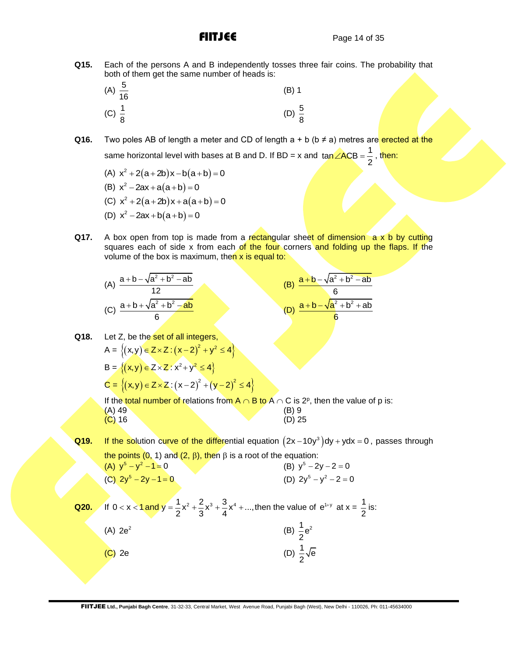**Q15.** Each of the persons A and B independently tosses three fair coins. The probability that both of them get the same number of heads is:

| (A) $\frac{5}{16}$ | $(B)$ 1           |  |
|--------------------|-------------------|--|
| (C) $\frac{1}{8}$  | (D) $\frac{5}{8}$ |  |

**Q16.** Two poles AB of length a meter and CD of length  $a + b$  ( $b \neq a$ ) metres are erected at the same horizontal level with bases at B and D. If BD = x and  $\tan \angle ACB = \frac{1}{2}$  $\angle ACB = \frac{1}{2}$ , then:

(A)  $x^2 + 2(a+2b)x - b(a+b) = 0$ 

(B) 
$$
x^2 - 2ax + a(a+b) = 0
$$

- (C)  $x^2 + 2(a+2b)x + a(a+b) = 0$
- (D)  $x^2 2ax + b(a+b) = 0$
- **Q17.** A box open from top is made from a rectangular sheet of dimension a x b by cutting squares each of side x from each of the four corners and folding up the flaps. If the volume of the box is maximum, then  $x$  is equal to:

(A) 
$$
\frac{a+b-\sqrt{a^2+b^2-ab}}{12}
$$
  
(C) 
$$
\frac{a+b+\sqrt{a^2+b^2-ab}}{6}
$$

(B) 
$$
\frac{a+b-\sqrt{a^2+b^2-ab}}{6}
$$
  
(D) 
$$
\frac{a+b-\sqrt{a^2+b^2+ab}}{6}
$$

**Q18.** Let Z, be the set of all integers,  $A = \{(x,y) \in Z \times Z : (x-2)^2 + y^2 \le 4\}$  $B = \{(x, y) \in Z \times Z : x^2 + y^2 \le 4\}$  $C = \{(x,y) \in Z \times Z : (x-2)^2 + (y-2)^2 \le 4\}$ If the total number of relations from A  $\cap$  B to A  $\cap$  C is 2º, then the value of p is:  $(A)$  49 (B) 9 (B) 9 (B) 16 (B) 16 (B) 25  $(C)$  16

Q19. If the solution curve of the differential equation  $(2x-10y^3)$ dy + ydx = 0, passes through the points (0, 1) and (2,  $\beta$ ), then  $\beta$  is a root of the equation: (A)  $y^5 - y^2 - 1 = 0$ (B)  $y^5 - 2y - 2 = 0$ 

(C) 
$$
2y^5 - 2y - 1 = 0
$$
 (D)  $2y^5 - y^2 - 2 = 0$ 

**Q20.** If 0 < x < 1 and y =  $\frac{1}{2}x^2 + \frac{2}{3}x^3 + \frac{3}{4}x^4 + ...$  $x < 1$  and  $y = \frac{1}{2}x^2 + \frac{2}{3}x^3 + \frac{3}{4}x^4 + ...$ , then the value of  $e^{1+y}$  at  $x = \frac{1}{2}$  $\frac{1}{2}$  is:  $(A)$  2e<sup>2</sup> (B)  $\frac{1}{2}e^2$ (C) 2e (D)  $\frac{1}{2}\sqrt{e}$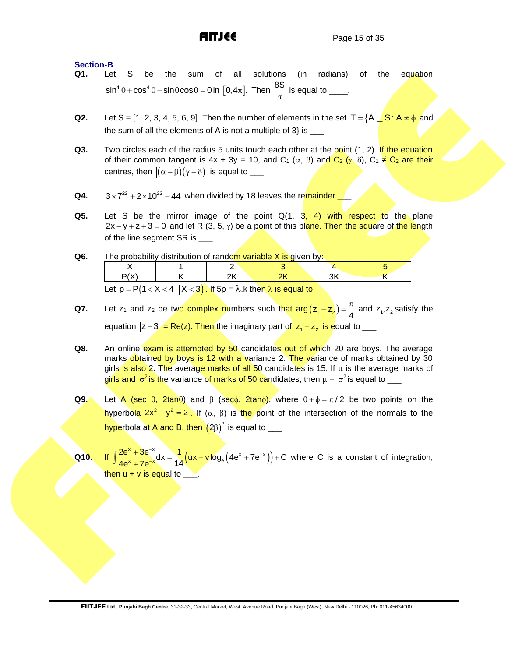# **Section-B**

- **Q1.** Let S be the sum of all solutions (in radians) of the equation  $\sin^4 \theta + \cos^4 \theta - \sin \theta \cos \theta = 0$  in  $[0, 4\pi]$ . Then  $\frac{8S}{\pi}$  $\frac{\pi}{\pi}$  is equal to \_\_\_\_.
- **Q2.** Let S = [1, 2, 3, 4, 5, 6, 9]. Then the number of elements in the set T =  ${A \subseteq S : A \neq \phi \text{ and}}$ the sum of all the elements of A is not a multiple of  $3$ } is  $\_\_$
- **Q3.** Two circles each of the radius 5 units touch each other at the point (1, 2). If the equation of their common tangent is  $4x + 3y = 10$ , and  $C_1(\alpha, \beta)$  and  $C_2(\gamma, \delta)$ ,  $C_1 \neq C_2$  are their centres, then  $\|(\alpha+\beta)(\gamma+\delta)\|$  is equal to \_\_\_
- **Q4.**  $3 \times 7^{22} + 2 \times 10^{22} - 44$  when divided by 18 leaves the remainder \_
- **Q5.** Let S be the mirror image of the point Q(1, 3, 4) with respect to the plane 2x – y + z + 3 = 0 and let R (3, 5,  $\gamma$ ) be a point of this plane. Then the square of the length of the line segment SR is \_\_\_\_.
- **Q6.** The probability distribution of random variable X is given by:

| Let $p = P(1 < X < 4   X < 3)$ . If $5p = \lambda$ . k then $\lambda$ is equal to |  |  |  |  |  |
|-----------------------------------------------------------------------------------|--|--|--|--|--|

- **Q7.** Let  $z_1$  and  $z_2$  be two complex numbers such that  $\arg(z_1 z_2) = \frac{\pi}{4}$  $(z-z_2) = \frac{\pi}{4}$  and  $z_1, z_2$  satisfy the equation  $|z-3|$  = Re(z). Then the imaginary part of  $|z_1 + z_2|$  is equal to \_\_\_
- **Q8.** An online exam is attempted by 50 candidates out of which 20 are boys. The average marks obtained by boys is 12 with a variance 2. The variance of marks obtained by 30 girls is also 2. The average marks of all 50 candidates is 15. If  $\mu$  is the average marks of girls and  $\sigma^2$  is the variance of marks of 50 candidates, then  $\mu$  +  $\sigma^2$  is equal to  $\_\_$
- **Q9.** Let A (sec  $\theta$ , 2tan $\theta$ ) and  $\beta$  (sec $\phi$ , 2tan $\phi$ ), where  $\theta + \phi = \pi/2$  be two points on the hyperbola  $2x^2 - y^2 = 2$ . If (α, β) is the point of the intersection of the normals to the hyperbola at A and B, then  $\left(2\beta\right)^2$  is equal to  $\rule{1em}{0.75mm}$
- **Q10.**  $\left($ ux + v $\log_{\rm e}$   $\left(4 \text{e}^{\star} + 7 \text{e}^{-\star} \right) \right)$  $\frac{2e^{x}+3e^{-x}}{4e^{x}+7e^{-x}}dx = \frac{1}{14}(ux+vlog_{e}(4e^{x}+7e^{-x}))+C$ +  $\int \frac{2e^{x}+3e^{-x}}{4e^{x}+7e^{-x}}dx=\frac{1}{14}(ux+v\log_{e}(4e^{x}+7e^{-x}))+C$  where C is a constant of integration, then  $u + v$  is equal to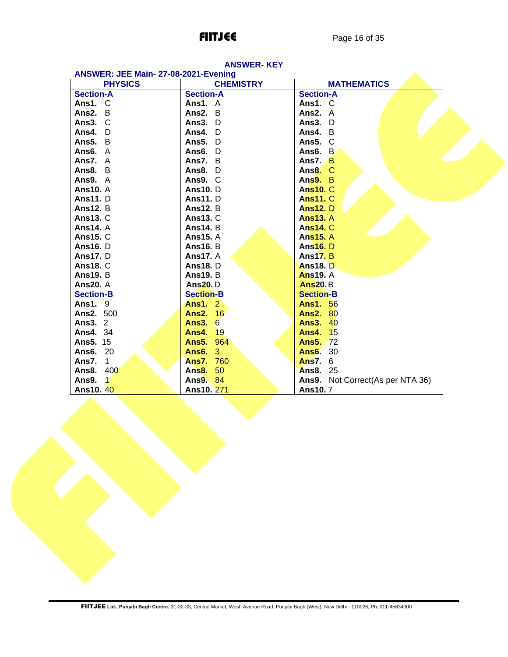| ANSWER: JEE Main-27-08-2021-Evening |                  |                                     |  |  |  |  |  |
|-------------------------------------|------------------|-------------------------------------|--|--|--|--|--|
| <b>PHYSICS</b>                      | <b>CHEMISTRY</b> | <b>MATHEMATICS</b>                  |  |  |  |  |  |
| <b>Section-A</b>                    | <b>Section-A</b> | <b>Section-A</b>                    |  |  |  |  |  |
| Ans1. C                             | Ans1. A          | Ans1. C                             |  |  |  |  |  |
| Ans $2. B$                          | Ans2. B          | Ans2. A                             |  |  |  |  |  |
| Ans $3. \, C$                       | Ans3. D          | Ans3. D                             |  |  |  |  |  |
| Ans4. D                             | Ans4. D          | Ans4. B                             |  |  |  |  |  |
| Ans5. B                             | Ans5. D          | Ans5. C                             |  |  |  |  |  |
| Ans6. A                             | Ans6. D          | Ans6. B                             |  |  |  |  |  |
| Ans7. A                             | Ans7. B          | Ans $7.$ B                          |  |  |  |  |  |
| Ans $8. B$                          | Ans8. D          | Ans8. C                             |  |  |  |  |  |
| Ans $9. A$                          | Ans $9. C$       | Ans $9. B$                          |  |  |  |  |  |
| <b>Ans10. A</b>                     | <b>Ans10.</b> D  | <b>Ans10. C</b>                     |  |  |  |  |  |
| <b>Ans11.</b> D                     | <b>Ans11.</b> D  | <b>Ans11. C</b>                     |  |  |  |  |  |
| <b>Ans12. B</b>                     | <b>Ans12. B</b>  | <b>Ans12. D</b>                     |  |  |  |  |  |
| <b>Ans13. C</b>                     | <b>Ans13. C</b>  | <b>Ans13. A</b>                     |  |  |  |  |  |
| <b>Ans14. A</b>                     | <b>Ans14.</b> B  | <b>Ans14. C</b>                     |  |  |  |  |  |
| <b>Ans15. C</b>                     | <b>Ans15. A</b>  | <b>Ans15. A</b>                     |  |  |  |  |  |
| <b>Ans16.</b> D                     | <b>Ans16. B</b>  | <b>Ans16.</b> D                     |  |  |  |  |  |
| <b>Ans17.</b> D                     | <b>Ans17. A</b>  | <b>Ans17. B</b>                     |  |  |  |  |  |
| <b>Ans18. C</b>                     | <b>Ans18.</b> D  | <b>Ans18. D</b>                     |  |  |  |  |  |
| <b>Ans19. B</b>                     | <b>Ans19. B</b>  | <b>Ans19. A</b>                     |  |  |  |  |  |
| <b>Ans20. A</b>                     | <b>Ans20.</b> D  | <b>Ans20.</b> B                     |  |  |  |  |  |
| <b>Section-B</b>                    | <b>Section-B</b> | <b>Section-B</b>                    |  |  |  |  |  |
| <b>Ans1. 9</b>                      | <b>Ans1. 2</b>   | <b>Ans1. 56</b>                     |  |  |  |  |  |
| Ans2. 500                           | <b>Ans2. 16</b>  | <b>Ans2. 80</b>                     |  |  |  |  |  |
| <b>Ans3. 2</b>                      | Ans $3, 6$       | 40<br>Ans3.                         |  |  |  |  |  |
| <b>Ans4. 34</b>                     | Ans4.<br>19      | Ans4.<br>15                         |  |  |  |  |  |
| <b>Ans5. 15</b>                     | 964<br>Ans5.     | <b>Ans5. 72</b>                     |  |  |  |  |  |
| <b>Ans6. 20</b>                     | <b>Ans6. 3</b>   | 30<br>Ans6.                         |  |  |  |  |  |
| Ans7.<br>$\overline{1}$             | <b>Ans7. 760</b> | Ans7.<br>6                          |  |  |  |  |  |
| 400<br>Ans8.                        | Ans8.<br>50      | Ans8.<br>25                         |  |  |  |  |  |
| Ans9.<br>$\mathbf{1}$               | Ans9. 84         | Ans9.<br>Not Correct(As per NTA 36) |  |  |  |  |  |
| Ans10. 40                           | Ans10. 271       | Ans10.7                             |  |  |  |  |  |

# **ANSWER- KEY**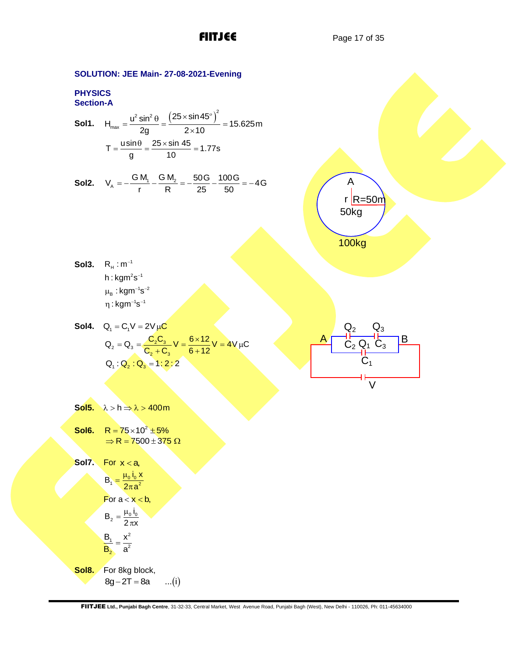FIITJEE Page 17 of 35

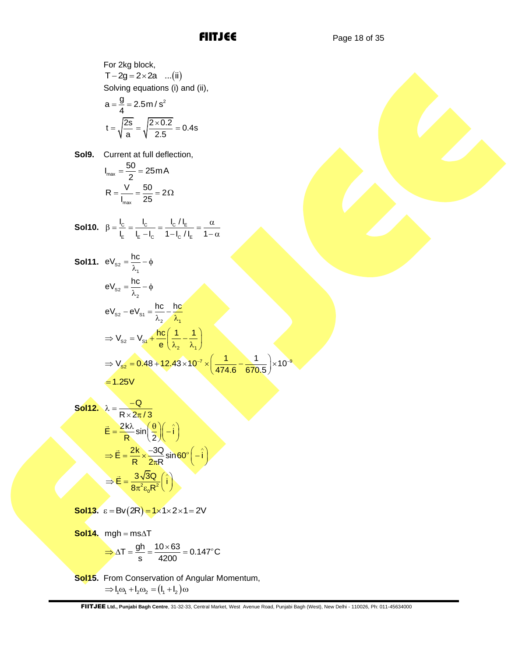For 2kg block,  $T - 2g = 2 \times 2a$  ... (ii) Solving equations (i) and (ii),

$$
a = \frac{g}{4} = 2.5 \text{ m/s}^2
$$

$$
t = \sqrt{\frac{2s}{a}} = \sqrt{\frac{2 \times 0.2}{2.5}} = 0.4 \text{s}
$$

**Sol9.** Current at full deflection,

$$
I_{\text{max}} = \frac{50}{2} = 25 \text{ mA}
$$

$$
R = \frac{V}{I_{\text{max}}} = \frac{50}{25} = 2\Omega
$$

**Sol10.** 
$$
\beta = \frac{I_C}{I_E} = \frac{I_C}{I_E - I_C} = \frac{I_C / I_E}{1 - I_C / I_E} = \frac{\alpha}{1 - \alpha}
$$

**Sol11.** 
$$
eV_{s2} = \frac{hc}{\lambda_1} - \phi
$$
  
\n $eV_{s2} = \frac{hc}{\lambda_2} - \phi$   
\n $eV_{s2} - eV_{s1} = \frac{hc}{\lambda_2} - \frac{hc}{\lambda_1}$   
\n $\Rightarrow V_{s2} = V_{s1} + \frac{hc}{e} \left(\frac{1}{\lambda_2} - \frac{1}{\lambda_1}\right)$   
\n $\Rightarrow V_{s2} = 0.48 + 12.43 \times 10^{-7} \times \left(\frac{1}{474.6} - \frac{1}{670.5}\right) \times 10^{-9}$   
\n= 1.25V

Soll2. 
$$
\lambda = \frac{-Q}{R \times 2\pi/3}
$$
  
\n
$$
\vec{E} = \frac{2k\lambda}{R} \sin\left(\frac{\theta}{2}\right) \left(-\hat{i}\right)
$$
\n
$$
\Rightarrow \vec{E} = \frac{2k}{R} \times \frac{-3Q}{2\pi R} \sin 60^\circ \left(-\hat{i}\right)
$$
\n
$$
\Rightarrow \vec{E} = \frac{3\sqrt{3}Q}{8\pi^2 \epsilon_0 R^2} \left(\hat{i}\right)
$$

**Sol13.**  $\varepsilon = Bv(2R) = 1 \times 1 \times 2 \times 1 = 2V$ 

Sol14. mgh = ms
$$
\triangle T
$$
  
\n $\Rightarrow \triangle T = \frac{gh}{s} = \frac{10 \times 63}{4200} = 0.147^{\circ} \text{C}$ 

**Sol15.** From Conservation of Angular Momentum,  $\Rightarrow$   $I_1 \omega_1 + I_2 \omega_2 = (I_1 + I_2) \omega$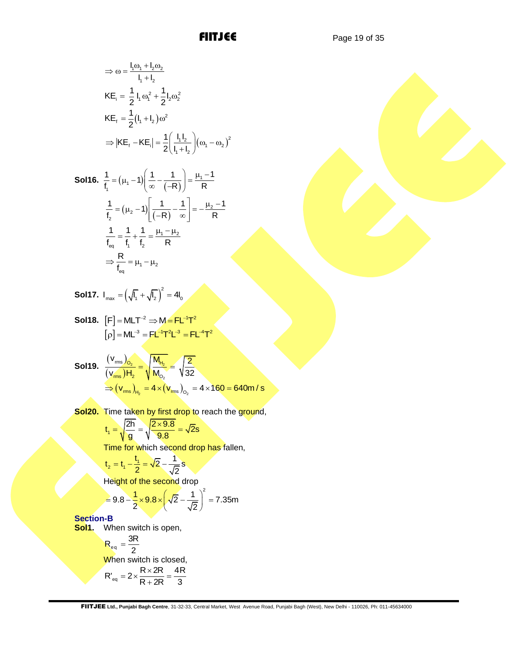**FIITJEE** Page 19 of 35

$$
\Rightarrow \omega = \frac{l_1 \omega_1 + l_2 \omega_2}{l_1 + l_2}
$$
  
\n
$$
KE_i = \frac{1}{2} l_1 \omega_1^2 + \frac{1}{2} l_2 \omega_2^2
$$
  
\n
$$
KE_f = \frac{1}{2} (l_1 + l_2) \omega^2
$$
  
\n
$$
\Rightarrow |KE_f - KE_i| = \frac{1}{2} \left( \frac{l_1 l_2}{l_1 + l_2} \right) (\omega_1 - \omega_2)^2
$$

**Sol16.** 
$$
\frac{1}{f_1} = (\mu_1 - 1) \left( \frac{1}{\infty} - \frac{1}{(-R)} \right) = \frac{\mu_1 - 1}{R}
$$

$$
\frac{1}{f_2} = (\mu_2 - 1) \left[ \frac{1}{(-R)} - \frac{1}{\infty} \right] = -\frac{\mu_2 - 1}{R}
$$

$$
\frac{1}{f_{eq}} = \frac{1}{f_1} + \frac{1}{f_2} = \frac{\mu_1 - \mu_2}{R}
$$

$$
\Rightarrow \frac{R}{f_{eq}} = \mu_1 - \mu_2
$$

**Sol17.** 
$$
I_{\text{max}} = \left(\sqrt{I_1} + \sqrt{I_2}\right)^2 = 4I_0
$$

**Sol18.** 
$$
[F] = MLT^{-2} \Rightarrow M = FL^{-1}T^{2}
$$
  
 $[\rho] = ML^{-3} = FL^{-1}T^{2}L^{-3} = FL^{-4}T^{2}$ 

**Sol19.** 
$$
\frac{(v_{rms})_{O_2}}{(v_{rms})H_2} = \sqrt{\frac{M_{H_2}}{M_{O_2}}} = \sqrt{\frac{2}{32}}
$$

$$
\Rightarrow (v_{rms})_{H_2} = 4 \times (v_{rms})_{O_2} = 4 \times 160 = 640 \text{ m/s}
$$

**Sol20.** Time taken by first drop to reach the ground,

$$
t_1 = \sqrt{\frac{2h}{g}} = \sqrt{\frac{2 \times 9.8}{9.8}} = \sqrt{2s}
$$

Time for which second drop has fallen,

$$
t_2 = t_1 - \frac{t_1}{2} = \sqrt{2} - \frac{1}{\sqrt{2}}s
$$

Height of the second drop  
= 
$$
9.8 - \frac{1}{2} \times 9.8 \times \left(\sqrt{2} - \frac{1}{\sqrt{2}}\right)^2 = 7.35
$$
m

**Section-B**

**Sol1.** When switch is open,

$$
R_{eq} = \frac{3R}{2}
$$
  
When switch is closed,  

$$
R'_{eq} = 2 \times \frac{R \times 2R}{R + 2R} = \frac{4R}{3}
$$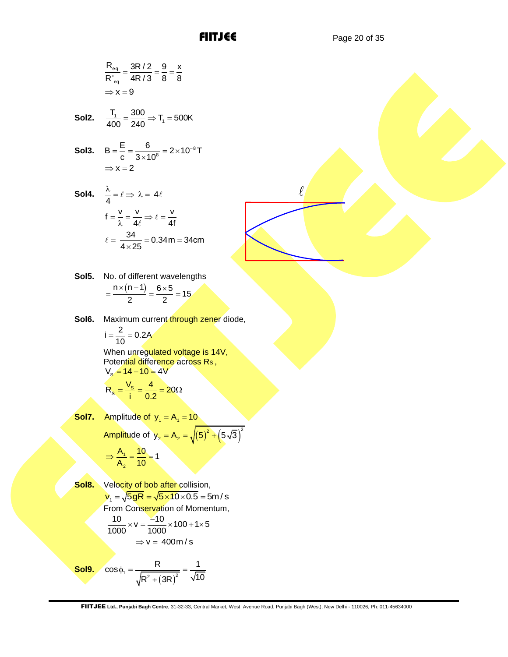$$
\frac{R_{eq}}{R'_{eq}} = \frac{3R/2}{4R/3} = \frac{9}{8} = \frac{x}{8}
$$

$$
\Rightarrow x = 9
$$

**Sol2.** 
$$
\frac{T_1}{400} = \frac{300}{240} \Rightarrow T_1 = 500K
$$

**Sol3.** 
$$
B = \frac{E}{c} = \frac{6}{3 \times 10^8} = 2 \times 10^{-8} T
$$
  
\n $\Rightarrow x = 2$ 

**Sol4.** 
$$
\frac{\lambda}{4} = \ell \Rightarrow \lambda = 4\ell
$$

$$
f = \frac{v}{\lambda} = \frac{v}{4\ell} \Rightarrow \ell = \frac{v}{4f}
$$

$$
\ell = \frac{34}{4 \times 25} = 0.34 \text{ m} = 34 \text{ cm}
$$

**Sol5.** No. of different wavelengths  $\frac{n \times (n-1)}{2} = \frac{6 \times 5}{2} = 15$  $\frac{1}{2}$  =  $\frac{1}{2}$  $=\frac{n \times (n-1)}{2} = \frac{6 \times 5}{2} = 15$ 

Sol6. Maximum current through zener diode,

$$
i=\frac{2}{10}=0.2A
$$

When unregulated voltage is 14V, Potential difference across Rs,  $V_s = 14 - 10 = 4V$ 

$$
R_{s} = \frac{V_{s}}{i} = \frac{4}{0.2} = 20\Omega
$$

**Sol7.** Amplitude of  $y_1 = A_1 = 10$ Amplitude of  $y_2 = A_2 = \sqrt{(5)^2 + (5\sqrt{3})^2}$ 

$$
A_1 = 10
$$

$$
\Rightarrow \frac{A_1}{A_2} = \frac{10}{10} = 1
$$

**Sol8.** Velocity of bob after collision, velocity of bob after collision,<br> $v_1 = \sqrt{5gR} = \sqrt{5 \times 10 \times 0.5} = 5m/s$ From Conservation of Momentum,  $\frac{10}{1000} \times v = \frac{-10}{1000} \times 100 + 1 \times 5$  $\Rightarrow$  v = 400 m/s

**Sol9.**  $\sqrt{R^2 + (3R)^2}$  $\cos \phi_1 = \frac{R}{\sqrt{R^2 + (3R)^2}} = \frac{1}{\sqrt{10}}$  $\phi_1 = \frac{R}{\sqrt{R_1 + R_2}} = \frac{R_1}{R_2}$ +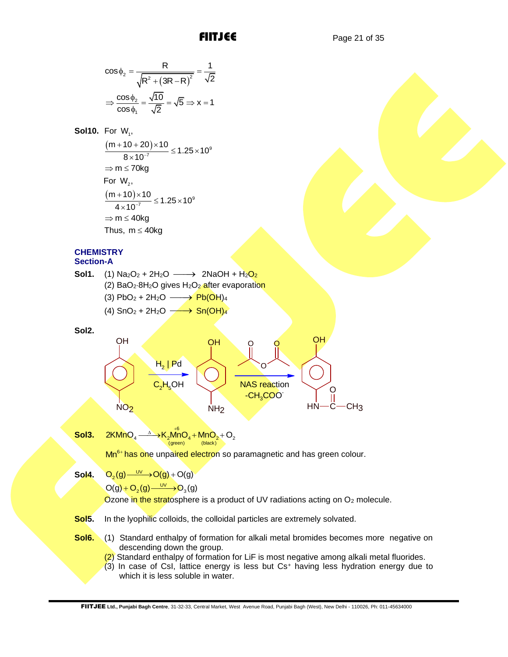$$
\cos \phi_2 = \frac{R}{\sqrt{R^2 + (3R - R)^2}} = \frac{1}{\sqrt{2}}
$$

$$
\Rightarrow \frac{\cos \phi_2}{\cos \phi_1} = \frac{\sqrt{10}}{\sqrt{2}} = \sqrt{5} \Rightarrow x = 1
$$

**Sol10.** For W<sub>1</sub>,

 $\frac{(m+10+20)\times10}{8\times10^{-7}} \leq 1.25\times10^{9}$  $\frac{m+10+20\times10}{8\times10^{-7}}$  ≤ 1.25 × 10  $+10+20$  × 10<br>8 × 10<sup>-7</sup>  $\leq$  1.25 × 10<sup>°</sup>  $\Rightarrow$  m  $\leq$  70kg For  $W<sub>2</sub>$ ,  $\frac{(m+10)\times 10}{4\times 10^{-7}} \leq 1.25\times 10^{9}$  $\frac{(m+10)\times 10}{4\times 10^{-7}}$  ≤ 1.25 × 10  $\frac{+10\times10}{+10^{-7}}$   $\leq$  1.25  $\times$  10  $\Rightarrow$  m  $\leq$  40kg Thus,  $m \leq 40$ kg

# **CHEMISTRY Section-A**

**Sol1.** (1) Na2O<sup>2</sup> + 2H2O ⎯⎯→ 2NaOH + H2O<sup>2</sup> (2)  $BaO<sub>2</sub>·8H<sub>2</sub>O$  gives  $H<sub>2</sub>O<sub>2</sub>$  after evaporation

 $(3)$  PbO<sub>2</sub> + 2H<sub>2</sub>O  $\longrightarrow$  Pb(OH)<sub>4</sub>

 $(4)$  SnO<sub>2</sub> + 2H<sub>2</sub>O  $\longrightarrow$  Sn(OH)<sub>4</sub>

**Sol2.**



**Sol3.**

 $2$ KMnO<sub>4</sub>  $\xrightarrow{\text{A}}$   $\rightarrow$  K<sub>2</sub>MnO<sub>4</sub> + MnO<sub>2</sub> + O<sub>2</sub><br>  $\xrightarrow{\text{(green)}}$ 

Mn<sup>6+</sup> has one unpaired electron so paramagnetic and has green colour.

**Sol4.**  $Q_2(g) \xrightarrow{UV} Q(g) + Q(g)$ 

 $O(g) + O_2(g) \xrightarrow{UV} O_3(g)$ 

Ozone in the stratosphere is a product of UV radiations acting on  $O<sub>2</sub>$  molecule.

**Sol5.** In the lyophilic colloids, the colloidal particles are extremely solvated.

- **Sol6.** (1) Standard enthalpy of formation for alkali metal bromides becomes more negative on descending down the group.
	- (2) Standard enthalpy of formation for LiF is most negative among alkali metal fluorides.
	- $(3)$  In case of CsI, lattice energy is less but Cs<sup>+</sup> having less hydration energy due to which it is less soluble in water.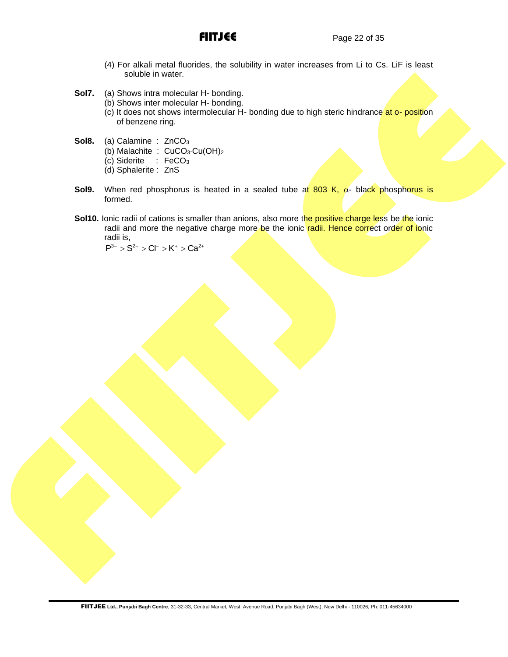- (4) For alkali metal fluorides, the solubility in water increases from Li to Cs. LiF is least soluble in water.
- **Sol7.** (a) Shows intra molecular H- bonding.
	- (b) Shows inter molecular H- bonding.
	- $(c)$  It does not shows intermolecular H- bonding due to high steric hindrance at o- position of benzene ring.
- **Sol8.** (a) Calamine : ZnCO<sub>3</sub>
	- (b) Malachite : CuCO<sub>3</sub>.Cu(OH)<sub>2</sub>
	- (c) Siderite : FeCO<sup>3</sup>
	- (d) Sphalerite : ZnS
- **Sol9.** When red phosphorus is heated in a sealed tube at 803 K,  $\alpha$  black phosphorus is formed.
- **Sol10.** Ionic radii of cations is smaller than anions, also more the positive charge less be the ionic radii and more the negative charge more be the ionic radii. Hence correct order of ionic radii is,

 $P^{3-} > S^{2-} > Cl^- > K^+ > Ca^{2+}$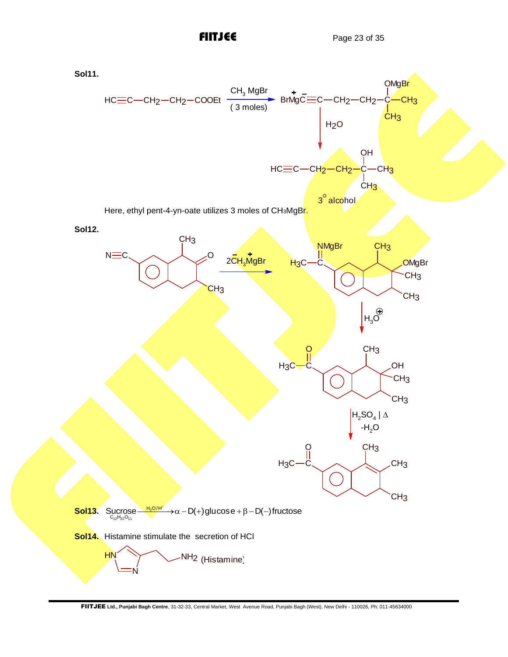

FIITJEE **Ltd., Punjabi Bagh Centre**, 31-32-33, Central Market, West Avenue Road, Punjabi Bagh (West), New Delhi - 110026, Ph: 011-45634000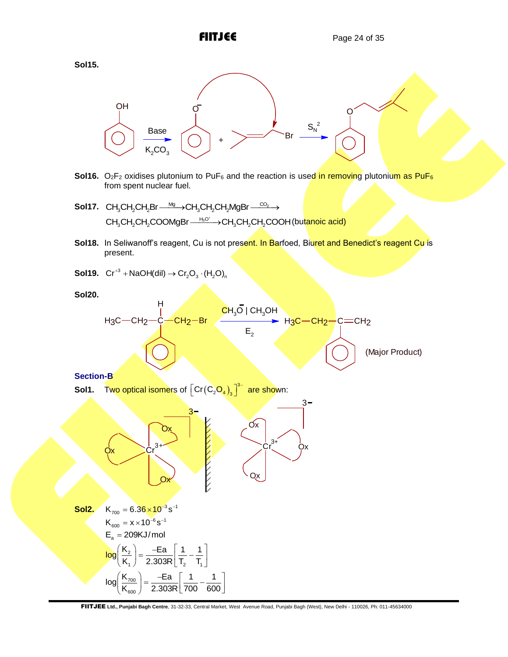



- **Sol16.** O<sub>2</sub>F<sub>2</sub> oxidises plutonium to PuF<sub>6</sub> and the reaction is used in removing plutonium as PuF<sub>6</sub> from spent nuclear fuel.
- **Sol17.** CH<sub>3</sub>CH<sub>2</sub>CH<sub>2</sub>Br  $\frac{Mg}{\longrightarrow}$ CH<sub>3</sub>CH<sub>2</sub>CH<sub>2</sub>MgBr  $\frac{CO_2}{\longrightarrow}$ Mg CO<sup>2</sup> CH CH CH Br CH CH CH MgBr 3 2 2 3 2 2 ⎯⎯⎯→ ⎯⎯⎯→ H O<sup>3</sup> CH CH CH COOMgBr CH CH CH COOH 3 2 2 3 2 2 <u>→ Backer CH</u><sub>3</sub>CH<sub>2</sub>COOH (butanoic acid)
- Sol18. In Seliwanoff's reagent, Cu is not present. In Barfoed, Biuret and Benedict's reagent Cu is present.
- **Sol19.**  $Cr^{+3} + NaOH(dil) \rightarrow Cr_2O_3 \cdot (H_2O)_n$

**Sol20.**



# **Section-B**

**Sol1.** Two optical isomers of  $\left[ Cr(C_2O_4), \right]^3$  $\left[\mathsf{Cr}\!\left(\mathsf{C}_2\!\mathsf{O}_4\right)_\! \right]^{\!3-}$  are shown:

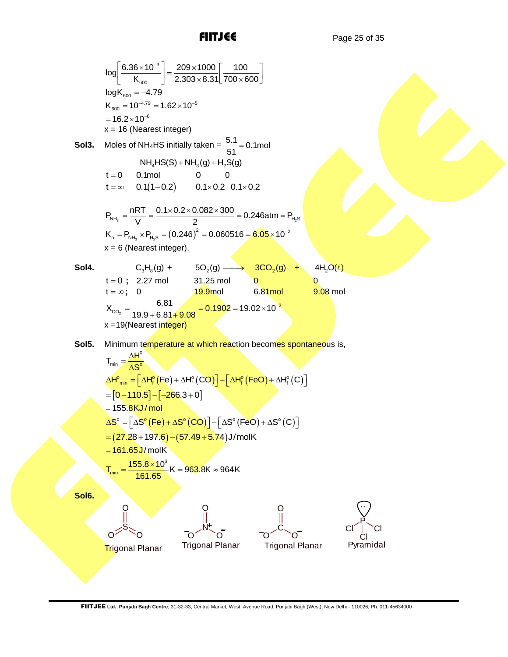log
$$
\left[\frac{6.36 \times 10^{-3}}{K_{\text{cav}}}\right] - \frac{209 \times 1000}{2.303 \times 8.31} \left[\frac{100}{700 \times 600}\right]
$$
  
\nlogK<sub>600</sub> - 4.79  
\nK<sub>600</sub> = 0<sup>-10<sup>-10</sup></sup> = 1.62×10<sup>-6</sup>  
\n= 16.2×10<sup>-6</sup>  
\nx = 16 (Nearest integer)  
\nSol3. Moles of N.H+IS (sin) = 16  
\nN.H+IS (sin) = 16  
\nN.H+IS (sin) = 16  
\nN.H+IS (sin) = 16  
\nN.H+IS (sin) = 16  
\nN.H+IS (sin) = 16  
\nN.H+IS (cos) = 16  
\nN.H+IS (cos) = 16  
\nN.H+IS (cos) = 20  
\n $K_{\text{cm}}$ , = P<sub>000</sub> × 10<sup>-2</sup>  
\n $K_{\text{cm}}$  = P<sub>000</sub> × 10<sup>-2</sup>  
\nx = 6 (Nearest integer).  
\nSol4. t = 0; 227 mol 31.25 mol 8.81 mol 8.81 mol  
\nx<sub>600</sub> = 1.681  
\n1 = α; 0  
\n1 = α; 0  
\n1 = 10, 127 mol 31.25 mol 8.81 mol 8.81 mol 8.00 mol  
\nx<sub>600</sub> = 1.68 cm<sup>-1</sup> = 1.05 mol 8.81 mol 8.80 mol 8.00 mol  
\nx = 19(Naarest integer)  
\nSol5. Minimum temperature at which reaction becomes spontaneous is,  
\nT<sub>cm</sub> =  $\frac{\Delta H^2}{\Delta S^2}$   
\n $MH_{\text{cm}}$  =  $\frac{1.64\%}{1.63} [F(e) + \Delta F^2(CO)] - [AH^2_F(FeO) + AH^2(C)]$   
\n= [161.85/1/mol  
\n $\Delta S^2 = [AS^2/(Fe) + AZ^2(CO)] - [AS^2/(FeO) + AS^2(C)]$   
\n= [161.85/100]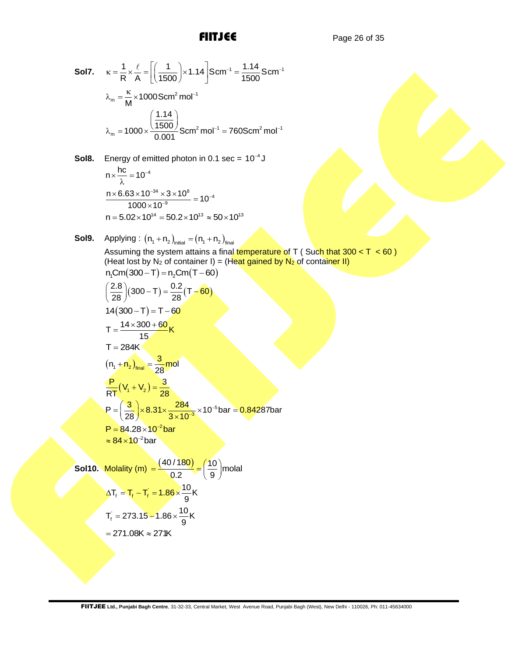**Sol7.** 
$$
\kappa = \frac{1}{R} \times \frac{\ell}{A} = \left[ \left( \frac{1}{1500} \right) \times 1.14 \right] \text{S} \text{cm}^{-1} = \frac{1.14}{1500} \text{S} \text{cm}^{-1}
$$
  
\n $\lambda_m = \frac{\kappa}{M} \times 1000 \text{S} \text{cm}^2 \text{mol}^{-1}$   
\n $\lambda_m = 1000 \times \frac{\left( \frac{1.14}{1500} \right)}{0.001} \text{S} \text{cm}^2 \text{mol}^{-1} = 760 \text{S} \text{cm}^2 \text{mol}^{-1}$ 

**Sol8.** Energy of emitted photon in 0.1 sec =  $10^{-4}$  J

$$
n \times \frac{hc}{\lambda} = 10^{-4}
$$
  

$$
\frac{n \times 6.63 \times 10^{-34} \times 3 \times 10^{8}}{1000 \times 10^{-9}} = 10^{-4}
$$
  

$$
n = 5.02 \times 10^{14} = 50.2 \times 10^{13} \approx 50 \times 10^{13}
$$

**Sol9.** Applying : 
$$
(n_1 + n_2)_{\text{initial}} = (n_1 + n_2)_{\text{final}}
$$

Assuming the system attains a final temperature of T ( Such that  $300 < T < 60$  ) (Heat lost by N<sub>2</sub> of container I) = (Heat gained by N<sub>2</sub> of container II)  $n_{\text{Cm}}(300 - T) = n_{\text{Cm}}(T - 60)$ 

$$
\left(\frac{2.8}{28}\right)(300 - T) = \frac{0.2}{28}(T - 60)
$$
  
14(300 - T) = T - 60  

$$
T = \frac{14 \times 300 + 60}{15}K
$$
  
T = 284K  

$$
(n_1 + n_2)_{final} = \frac{3}{28}mol
$$
  

$$
\frac{P}{RT}(V_1 + V_2) = \frac{3}{28}
$$
  

$$
P = \left(\frac{3}{28}\right) \times 8.31 \times \frac{284}{3 \times 10^{-3}} \times 10^{-5} bar = 0.84287bar
$$
  
P = 84.28 × 10<sup>-2</sup> bar  
≈ 84 × 10<sup>-2</sup> bar

**Sol10.** Molality (m)  $=$   $\frac{(40/180)}{2000} = \left(\frac{10}{2}\right)$  molal  $\frac{1}{0.2}$  =  $\frac{1}{9}$  $=\frac{(40/180)}{0.2} = \left(\frac{10}{9}\right)$ mo  $\Delta T_f = T_f - T_f = 1.86 \times \frac{10}{9} K$  $T_{f} = 273.15 - 1.86 \times \frac{10}{9}K$  $= 271.08K \approx 271K$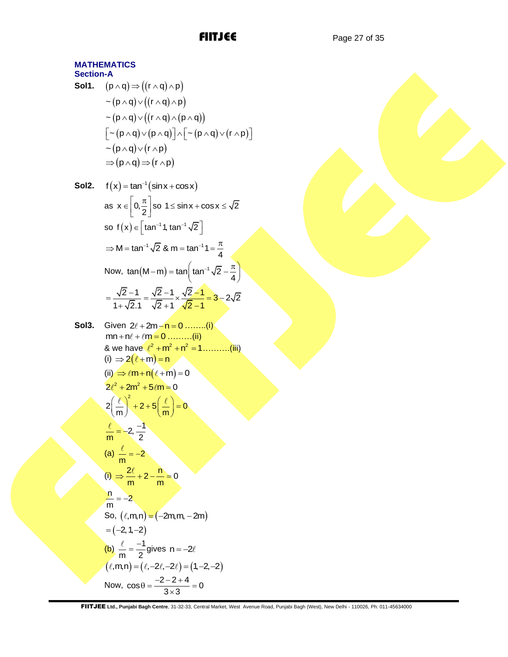FIITJEE Page 27 of 35

# **MATHEMATICS Section-A Sol1.**  $(p \land q) \Rightarrow ((r \land q) \land p)$  $\sim (p \wedge q) \vee ((r \wedge q) \wedge p)$  $\sim (p \wedge q) \vee ((r \wedge q) \wedge (p \wedge q))$  $\lceil$  ~ (p  $\wedge$  q)  $\vee$  (p  $\wedge$  q)  $\rceil \wedge$   $\lceil$  ~ (p  $\wedge$  q)  $\vee$  (r  $\wedge$  p)  $\rceil$  $\sim (p \wedge q) \vee (r \wedge p)$  $\Rightarrow$  (p  $\land$  q)  $\Rightarrow$  (r  $\land$  p) **Sol2.**  $f(x) = \tan^{-1}(\sin x + \cos x)$ as  $x \in \left[0, \frac{\pi}{2}\right]$  $\in \left[0, \frac{\pi}{2}\right]$  so  $1 \le \sin x + \cos x \le \sqrt{2}$ so  $f(x) \in [\tan^{-1} 1, \tan^{-1} \sqrt{2}]$  $M = \tan^{-1} \sqrt{2}$  & m = tan<sup>-1</sup> 1 =  $\frac{\pi}{4}$  $\Rightarrow$  M = tan<sup>-1</sup>  $\sqrt{2}$  & m = tan<sup>-1</sup> 1 =  $\frac{\pi}{4}$ Now,  $\tan(M-m) = \tan \left(\tan^{-1} \sqrt{2} - \frac{\pi}{4}\right)$  $-m$ ) = tan  $\left(\tan^{-1}\sqrt{2} - \frac{\pi}{4}\right)$  $\frac{2-1}{2} = \frac{\sqrt{2}-1}{2} \times \frac{\sqrt{2}-1}{2} = 3-2\sqrt{2}$  $\frac{\sqrt{2}-1}{1+\sqrt{2}.1} = \frac{\sqrt{2}-1}{\sqrt{2}+1} \times \frac{\sqrt{2}-1}{\sqrt{2}-1}$  $=\frac{\sqrt{2}-1}{4\sqrt{2}-1}=\frac{\sqrt{2}-1}{\sqrt{2}-1}\times\frac{\sqrt{2}-1}{\sqrt{2}-1}=3-2\sqrt{2}$  $\frac{\sqrt{2}-1}{\sqrt{2}+1} = \frac{\sqrt{2}-1}{\sqrt{2}+1} \times \frac{\sqrt{2}-1}{\sqrt{2}-1} = \frac{1}{2}$ **Sol3.** Given 2ℓ + 2m <del>- n = 0 ........(i</del>)  $mn + n\ell + \ell m = 0 \dots (ii)$ & we have  $\ell^2 + m^2 + n^2 = 1$ ..........(iii) (i)  $\Rightarrow$  2( $\ell$  + m) = n (ii)  $\Rightarrow \ell m + n(\ell+m) = 0$  $2\ell^2 + 2m^2 + 5\ell m = 0$  $2\left(\frac{\ell}{m}\right)^2 + 2 + 5\left(\frac{\ell}{m}\right) = 0$  $\left(\frac{\ell}{m}\right)^2 + 2 + 5\left(\frac{\ell}{m}\right) = 0$  $\frac{\ell}{m} = -2, \frac{-1}{2}$  $=-2,$

$$
(a) \frac{\ell}{m} = -2
$$
\n
$$
(i) \Rightarrow \frac{2\ell}{m} + 2 - \frac{n}{m} = 0
$$
\n
$$
\frac{n}{m} = -2
$$
\nSo,  $(\ell, m, n) = (-2m, m, -2m)$   
\n $= (-2, 1, -2)$   
\n(b)  $\frac{\ell}{m} = \frac{-1}{2}$  gives  $n = -2\ell$   
\n $(\ell, m, n) = (\ell, -2\ell, -2\ell) = (1, -2, -2)$   
\nNow,  $\cos \theta = \frac{-2 - 2 + 4}{3 \times 3} = 0$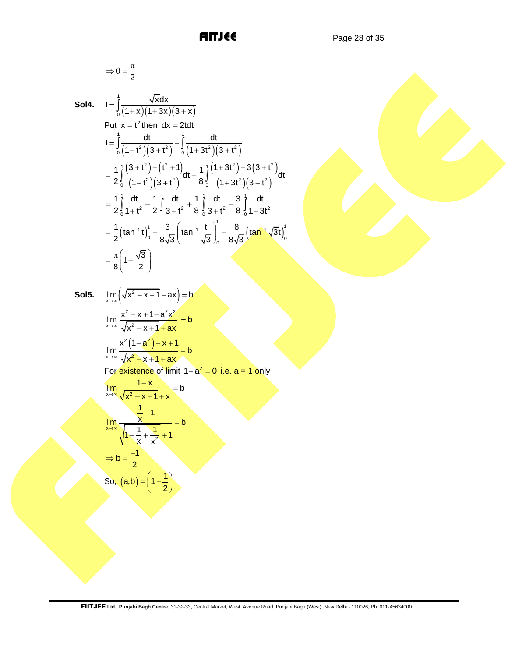$$
\Longrightarrow \theta = \frac{\pi}{2}
$$

**Sol4.**

$$
I = \int_{0}^{1} \frac{\sqrt{x} dx}{(1+x)(1+3x)(3+x)}
$$
  
Put  $x = t^2$  then  $dx = 2t dt$   

$$
I = \int_{0}^{1} \frac{dt}{(1+t^2)(3+t^2)} - \int_{0}^{1} \frac{dt}{(1+3t^2)(3+t^2)}
$$

$$
= \frac{1}{2} \int_{0}^{1} \frac{(3+t^2)-(t^2+1)}{(1+t^2)(3+t^2)} dt + \frac{1}{8} \int_{0}^{1} \frac{(1+3t^2)-3(3+t^2)}{(1+3t^2)(3+t^2)} dt
$$

$$
= \frac{1}{2} \int_{0}^{1} \frac{dt}{1+t^2} - \frac{1}{2} \int_{0}^{1} \frac{dt}{3+t^2} + \frac{1}{8} \int_{0}^{1} \frac{dt}{3+t^2} - \frac{3}{8} \int_{0}^{1} \frac{dt}{1+3t^2}
$$

$$
= \frac{1}{2} (\tan^{-1} t) \Big|_{0}^{1} - \frac{3}{8\sqrt{3}} \Big( \tan^{-1} \frac{t}{\sqrt{3}} \Big)_{0}^{1} - \frac{8}{8\sqrt{3}} \Big( \tan^{-1} \sqrt{3} t \Big)_{0}^{1}
$$

$$
= \frac{\pi}{8} \Big( 1 - \frac{\sqrt{3}}{2} \Big)
$$

**Sol5.** ( )

$$
\lim_{x \to \infty} (\sqrt{x^2 - x + 1} - ax) = b
$$
\n
$$
\lim_{x \to \infty} \left| \frac{x^2 - x + 1 - a^2 x^2}{\sqrt{x^2 - x + 1} + ax} \right| = b
$$
\n
$$
\lim_{x \to \infty} \frac{x^2 (1 - a^2) - x + 1}{\sqrt{x^2 - x + 1} + ax} = b
$$
\nFor existence of limit  $1 - a^2 = 0$  i.e.  $a = 1$  only\n
$$
\lim_{x \to \infty} \frac{1 - x}{\sqrt{x^2 - x + 1} + x} = b
$$
\n
$$
\lim_{x \to \infty} \frac{\frac{1 - x}{\sqrt{x^2 - x + 1} + x}}{\sqrt{1 - \frac{1}{x} + \frac{1}{x^2} + 1}} = b
$$
\n
$$
\Rightarrow b = \frac{-1}{2}
$$
\nSo,  $(a, b) = (1, -\frac{1}{2})$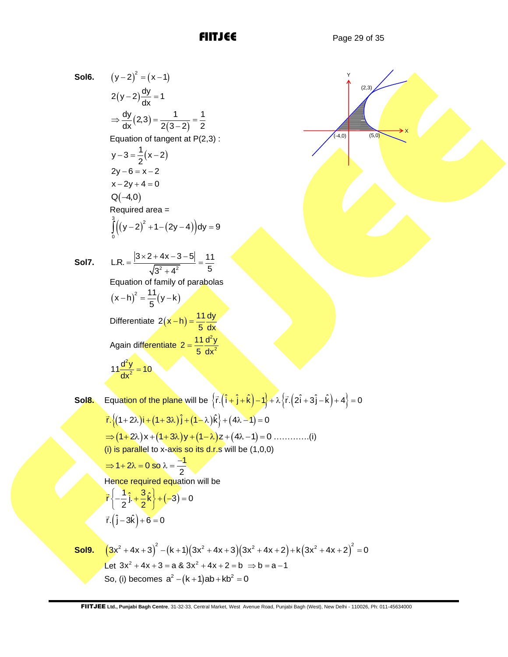$(5,0)$ 

X

(2,3)

Y

 $( -4, 0)$ 

**Sol6.** 
$$
(y-2)^2 = (x-1)
$$
  
\n $2(y-2)\frac{dy}{dx} = 1$   
\n $\Rightarrow \frac{dy}{dx}(2,3) = \frac{1}{2(3-2)} = \frac{1}{2}$   
\nEquation of tangent at P(2)

Equation of tangent at  $P(2,3)$  :  $y-3=\frac{1}{2}(x-2)$  $-3 = \frac{1}{2}(x-2)$  $2y - 6 = x - 2$  $x - 2y + 4 = 0$  $Q(-4,0)$  $R$ equired area =  $((y-2)^2 + 1 - (2y-4))$  $\int_{0}^{3} (1 - \alpha)^2$  $\int_{0}^{3} \left( (y-2)^2 + 1 - (2y-4) \right) dy = 9$ 

 $(2,3) = \frac{1}{2(3-2)}$  $\frac{dy}{dx}(2,3) = \frac{1}{2(2-3)} = \frac{1}{2}$  $\frac{1}{dx}$ (2,3) =  $\frac{1}{2(3-2)}$  =  $\frac{1}{2}$ 

 $(-2)\frac{dy}{dx} =$ 

**Sol7.**

**Sol9.**

L.R. = 
$$
\frac{|3 \times 2 + 4x - 3 - 5|}{\sqrt{3^2 + 4^2}} = \frac{11}{5}
$$
  
Equation of family of parabolas  

$$
(x - h)^2 = \frac{11}{5}(y - k)
$$
  
Differentiate  $2(x - h) = \frac{11}{5} \frac{dy}{dx}$   
Again differentiate  $2 = \frac{11}{5} \frac{d^2y}{dx^2}$   

$$
\frac{11 \frac{d^2y}{dx^2} = 10}{11}
$$

**Sol8.** Equation of the plane will be  $\{\vec{r}\cdot(\hat{i}+\hat{j}+\hat{k})-1\}+\lambda\{\vec{r}\cdot(2\hat{i}+3\hat{j}-\hat{k})+4\}=0$ 

Equation of the plane with be 
$$
\{1 \cdot (1 + 1 + k) - 1\} + 2 \cdot (1 + 3 + k) + 3 = 0
$$
  
\n
$$
\vec{r} \cdot \{(1+2\lambda)i + (1+3\lambda)j + (1-\lambda)k\} + (4\lambda - 1) = 0
$$
\n
$$
\Rightarrow (1+2\lambda)x + (1+3\lambda)y + (1-\lambda)z + (4\lambda - 1) = 0
$$
\n
$$
\Rightarrow 1+2\lambda = 0 \text{ so } \lambda = \frac{-1}{2}
$$
\nHence required equation will be  
\n
$$
\vec{r} \left\{ -\frac{1}{2}j + \frac{3}{2}k\right\} + (-3) = 0
$$
\n
$$
\vec{r} \cdot (j-3k) + 6 = 0
$$
\n
$$
\vec{r} \cdot (j-3k) + 6 = 0
$$
\n
$$
(3x^2 + 4x + 3)^2 - (k+1)(3x^2 + 4x + 3)(3x^2 + 4x + 2) + k(3x^2 + 4x + 2)^2 = 0
$$
\nLet  $3x^2 + 4x + 3 = a$  &  $3x^2 + 4x + 2 = b \Rightarrow b = a - 1$   
\nSo, (i) becomes  $a^2 - (k+1)ab + kb^2 = 0$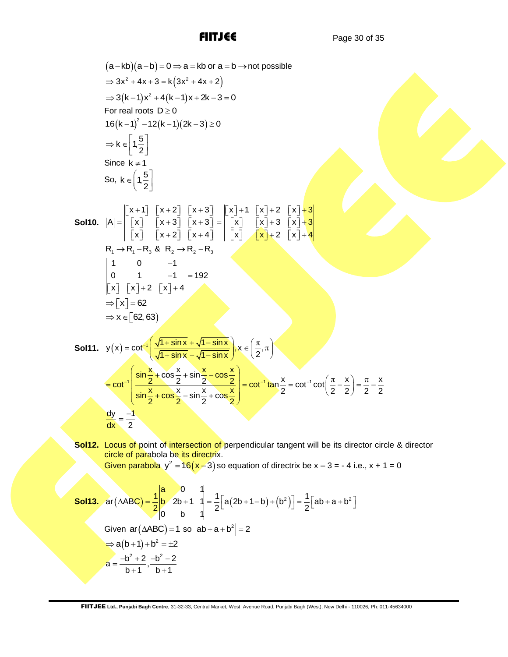(a-kb)(a-b) = 0 ⇒ a = kb or a = b → not possible  
\n⇒ 3x<sup>2</sup> + 4x + 3 = k(3x<sup>2</sup> + 4x + 2)  
\n⇒ 3(k-1)x<sup>2</sup> + 4(k-1)x + 2k-3 = 0  
\nFor real roots D ≥ 0  
\n16(k-1)<sup>2</sup> - 12(k-1)(2k-3) ≥ 0  
\n⇒ k ∈ 
$$
\left\{1,\frac{5}{2}\right\}
$$
  
\nSince k ≠ 1  
\nSo, k ∈  $\left\{1,\frac{5}{2}\right\}$   
\nSince k ≠ 1  
\nSo, k =  $\left\{1,\frac{5}{2}\right\}$   
\nSo, k =  $\left\{1,\frac{5}{2}\right\}$   
\nSo, k =  $\left\{1,\frac{5}{2}\right\}$   
\nSo, k = 1, -8, 8 R → R = R<sub>2</sub>  
\nR<sub>1</sub> → R, R = R<sub>2</sub> → R = R<sub>3</sub>  
\nR<sub>1</sub> → R<sub>2</sub> → R = R<sub>4</sub>  
\n1 0 1  
\n $\left\{x \mid x \mid 2 \quad |x| + 2 \quad |x| + 4 \quad |x| \quad |x| + 2 \quad |x| + 4 \quad |x| + 2 \quad |x| + 4 \quad |x| + 2 \quad |x| + 4 \quad |x| + 2 \quad |x| + 2 \quad |x| + 2 \quad |x| + 2 \quad |x| + 2 \quad |x| + 2 \quad |x| + 2 \quad |x| + 2 \quad |x| + 2 \quad |x| + 2 \quad |x| + 2 \quad |x| + 2 \quad |x| + 2 \quad |x| + 2 \quad |x| + 2 \quad |x| + 2 \quad |x| + 2 \quad |x| + 2 \quad |x| + 2 \quad |x| + 2 \quad |x| + 2 \quad |x| + 2 \quad |x| + 2 \quad |x| + 2 \quad |x| + 2 \quad |x| + 2 \quad |x| + 2 \quad |x| + 2 \quad |x| + 2 \quad |x| + 2 \quad |x| + 2 \quad |x| + 2 \quad |x| + 2 \quad |x| + 2 \quad |x| + 2 \quad |x| + 2 \quad |x| + 2$ 

**Sol12.** Locus of point of intersection of perpendicular tangent will be its director circle & director circle of parabola be its directrix.

Given parabola 
$$
y^2 = 16(x-3)
$$
 so equation of directrix be  $x - 3 = -4$  i.e.,  $x + 1 = 0$   
\n**Sol13.**  $ar(\triangle ABC) = \frac{1}{2} \begin{vmatrix} a & 0 & 1 \\ b & 2b + 1 & 1 \\ 0 & b & 1 \end{vmatrix} = \frac{1}{2} [a(2b + 1-b) + (b^2)] = \frac{1}{2} [ab + a + b^2]$   
\nGiven  $ar(\triangle ABC) = 1$  so  $|ab + a + b^2| = 2$   
\n $\Rightarrow a(b+1) + b^2 = \pm 2$   
\n $a = \frac{-b^2 + 2}{b+1}, \frac{-b^2 - 2}{b+1}$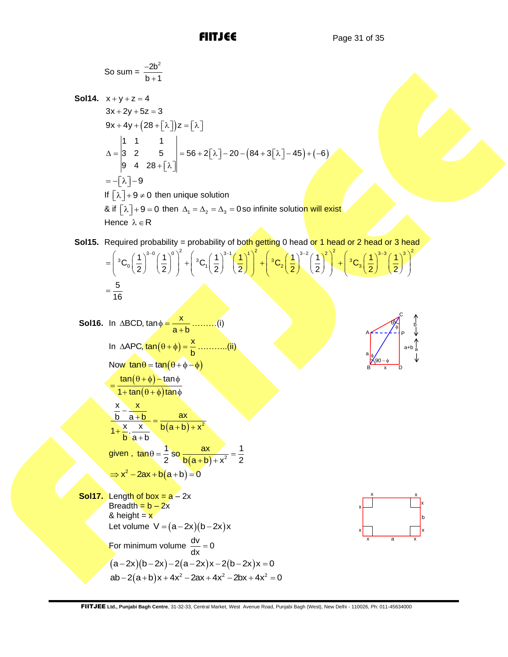C

b

a

x

b

x x

So sum = 
$$
\frac{-2b^2}{b+1}
$$
  
\n**Sol14.**  $x + y + z = 4$   
\n $3x + 2y + 5z = 3$   
\n $9x + 4y + (28 + [\lambda])z = [\lambda]$   
\n $\Delta = \begin{vmatrix} 1 & 1 & 1 \\ 3 & 2 & 5 \\ 9 & 4 & 28 + [\lambda] \end{vmatrix} = 56 + 2[\lambda] - 20 - (84 + 3[\lambda] - 45) + (-6)$   
\n $= -[\lambda] - 9$   
\nIf  $[\lambda] + 9 \neq 0$  then unique solution  
\n $\& \text{if } [\lambda] + 9 = 0 \text{ then } \Delta_1 = \Delta_2 = \Delta_3 = 0$  so infinite solution will exist  
\nHence  $\lambda \in \mathbb{R}$   
\n**Sol15.** Required probability = probability of both getting 0 head or 1 head or 2 head or 3 head  
\n $= \left( {}^3C_0 \left(\frac{1}{2}\right)^{3-0} \left(\frac{1}{2}\right)^0 \right)^2 + \left( {}^3C_1 \left(\frac{1}{2}\right)^{3-1} \left(\frac{1}{2}\right)^1 \right)^2 + \left( {}^3C_2 \left(\frac{1}{2}\right)^{3-2} \left(\frac{1}{2}\right)^3 \right)^2 + \left( {}^3C_3 \left(\frac{1}{2}\right)^{3-3} \left(\frac{1}{2}\right)^3 \right)^2$ 

Sol16. In ABCD, 
$$
\tan \phi = \frac{x}{a+b}
$$
........(i)  
\nIn  $\triangle APC$ ,  $\tan(\theta + \phi) = \frac{x}{b}$ ........(ii)  
\nNow  $\tan \theta = \tan(\theta + \phi - \phi)$   
\n
$$
= \frac{\tan(\theta + \phi) - \tan \phi}{1 + \tan(\theta + \phi) \tan \phi}
$$
\n
$$
\frac{x - x}{b - a + b} = \frac{ax}{a + b}
$$
\ngiven,  $\tan \theta = \frac{1}{2}$  so  $\frac{ax}{b(a+b)+x^2} = \frac{1}{2}$   
\n
$$
\Rightarrow x^2 - 2ax + b(a+b) = 0
$$
\nSol17. Length of box = a - 2x  
\nBreadth = b - 2x  
\nLet volume  $V = (a-2x)(b-2x)x$   
\nFor minimum volume  $\frac{dv}{dx} = 0$   
\n(a-2x)(b-2x)-2(a-2x)x-2(b-2x)x = 0  
\nab-2(a+b)x + 4x^2 - 2ax + 4x^2 - 2bx + 4x^2 = 0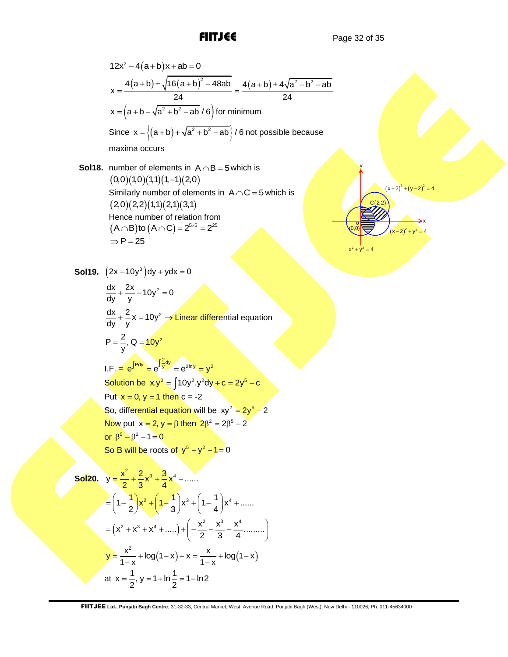$$
12x^{2}-4(a+b)x+ab=0
$$
\n
$$
x = \frac{4(a+b) \pm \sqrt{16(a+b)^{2} - 48ab}}{24} = \frac{4(a+b) \pm 4\sqrt{a^{2} + b^{2} - ab}}{24}
$$
\n
$$
x = (a+b) - \sqrt{a^{2} + b^{2} - ab}/6 \text{ for minimum}
$$
\nSince  $x = \{(a+b) + \sqrt{a^{2} + b^{2} - ab}\}/6$  not possible because maxima occurs

**Sol18.** number of elements in  $A \cap B = 5$  which is  $(0,0)(1,0)(1,1)(1,-1)(2,0)$ Similarly number of elements in  $A \cap C = 5$  which is  $(2,0)(2,2)(1,1)(2,1)(3,1)$ Hence number of relation from  $(A \cap B)$ to  $(A \cap C) = 2^{5 \times 5} = 2^{25}$  $\Rightarrow P = 25$ 

$$
(x-2)^2 + (y-2)^2 = 4
$$
\n(0,0)  
\n(0,0)  
\n(0,0)  
\n(0,0)  
\n(0,0)  
\n(0,0)  
\n(0,0)  
\n(0,0)  
\n(0,0)  
\n(0,0)  
\n(0,0)  
\n(0,0)  
\n(0,0)  
\n(0,0)  
\n(0,0)  
\n(0,0)  
\n(0,0)  
\n(0,0)  
\n(0,0)  
\n(0,0)  
\n(0,0)  
\n(0,0)  
\n(0,0)  
\n(0,0)  
\n(0,0)  
\n(0,0)  
\n(0,0)  
\n(0,0)  
\n(0,0)  
\n(0,0)  
\n(0,0)  
\n(0,0)  
\n(0,0)  
\n(0,0)  
\n(0,0)  
\n(0,0)  
\n(0,0)  
\n(0,0)  
\n(0,0)  
\n(0,0)  
\n(0,0)  
\n(0,0)  
\n(0,0)  
\n(0,0)  
\n(0,0)  
\n(0,0)  
\n(0,0)  
\n(0,0)  
\n(0,0)  
\n(0,0)  
\n(0,0)  
\n(0,0)  
\n(0,0)  
\n(0,0)  
\n(0,0)  
\n(0,0)  
\n(0,0)  
\n(0,0)  
\n(0,0)  
\n(0,0)  
\n(0,0)  
\n(0,0)  
\n(0,0)  
\n(0,0)  
\n(0,0)  
\n(0,0)  
\n(0,0)  
\n(0,0)  
\n(0,0)  
\n(0,0)  
\n(0,0)  
\n(0,0)  
\n(0,0)  
\n(0,0)  
\n(0,0)  
\n(0,0)  
\n(0,0)  
\n(0,0)  
\n(0,0)  
\n(0,0)  
\n(0,0)  
\n(0,0)  
\n(0,0)  
\n(0,0)  
\n(0,0)  
\n(0,0)  
\n(0,0)  
\n(0,0)  
\n(0,0)  
\n(0,0)  
\n(0,0)  
\n(0,0)  
\n(0,0

12x<sup>2</sup>-4(a+b)x+ab=0  
\nx = 
$$
\frac{4(a+b)+\sqrt{16(a+b)^2-48ab}}{24}
$$
 =  $\frac{4(a+b)+\sqrt{a^2+b^2-ab}}{24}$   
\nx =  $\left(a+b-\sqrt{a^2+b^2-ab}/6\right)$  for minimum  
\nSince x =  $\{(a+b)+\sqrt{a^2+b^2-ab}/6\}$  for position  
\nSince x =  $\{(a+b)+\sqrt{a^2+b^2-ab}/6\}$  for position is  
\n(0,0)(1)(1,1)(2,0)  
\nSimilarly number of elements in A∩C = 5 which is  
\n(2,0)(2,2)(1,1)(2,1)(3,1)  
\nHence number of relation from  
\n(A∩B) to (A∩C) = 2<sup>6</sup>° = 2<sup>8</sup>°  
\n⇒ P = 25  
\n**Sol19.**  $(2x-10y^3)dy + ydx = 0$   
\n $\frac{dx}{dy} + \frac{2x}{y} - 10y^2 = 0$   
\n $\frac{dx}{dy} + \frac{2x}{y} - 10y^2 = 0$   
\n $\frac{dx}{dy} + \frac{2x}{y} - 10y^2 = \sqrt{\frac{1}{2}} = \sqrt{\frac{e^{2x}}{y}}$   
\n**Solution** be  $xy^2 = \int 10y^2y^2dy + c = 2y^6 + c$   
\nPut  $x = 0$ ,  $y = 1$  then  $c = 2$   
\nSo, different integral equation will be  $xy^2 = 2y^6 - 2$   
\nNow put  $x = 2$ ,  $y = \beta$  then  $2\beta^2 = 2\beta^5 - 2$   
\nor  $\beta^6 - \beta^2 - 1 = 0$   
\n**Sol20.**  $y = \frac{x^2}{2} + \frac{2}{3}x^3 + \frac{3}{4}x^4 + ......$   
\n $= \left(1 - \frac{1}{2}\right)x^2 + \left(1 - \frac{1}{3}\right)x^3 + \left(1 - \frac{1}{4}\right)x^4 + ......$   
\n $= (x^2 + x^2 + x^4 + ......) + \left(-\frac{x^2}{2} - \frac{x^3}{3} - \frac{x$ 

So120. 
$$
y = \frac{x^2}{2} + \frac{2}{3}x^3 + \frac{3}{4}x^4 + \dots
$$

$$
= \left(1 - \frac{1}{2}\right)x^2 + \left(1 - \frac{1}{3}\right)x^3 + \left(1 - \frac{1}{4}\right)x^4 + \dots
$$

$$
= \left(x^2 + x^3 + x^4 + \dots\right) + \left(-\frac{x^2}{2} - \frac{x^3}{3} - \frac{x^4}{4} + \dots\right)
$$

$$
y = \frac{x^2}{1 - x} + \log(1 - x) + x = \frac{x}{1 - x} + \log(1 - x)
$$
at  $x = \frac{1}{2}, y = 1 + \ln\frac{1}{2} = 1 - \ln 2$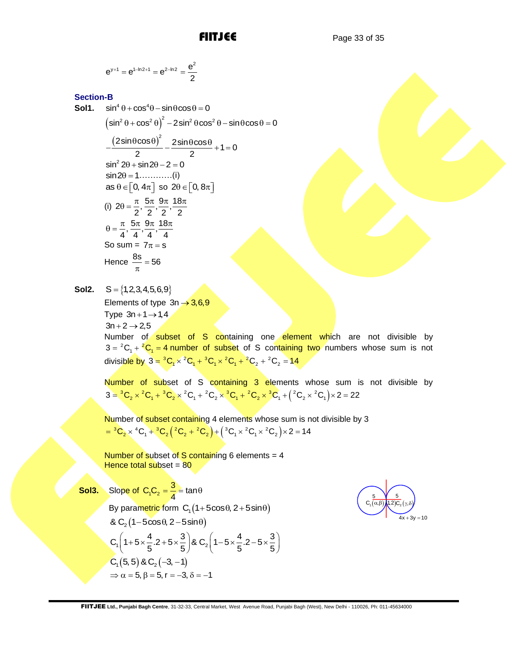$$
e^{y+1} = e^{1-\ln 2+1} = e^{2-\ln 2} = \frac{e^2}{2}
$$

# **Section-B**

**a**<sup>211</sup> = **a**<sup>112</sup><sup>1</sup> = **c**<sup>3</sup><sup>12</sup> = **c**<sup>3</sup><sup>2</sup> = **c**<sup>5</sup> = **c**<sup>5</sup><br> **c**(iii)<sup>2</sup> 0 + **c**x2<sup>4</sup> 0 + **c**x2<sup>4</sup> 0 + **c**<sup>3</sup> 0 + **c**<sup>3</sup> 0 + **c**<sup>3</sup> 0 + **c**<sup>3</sup> 0 + **c**<sup>3</sup> 0 + **c**<sup>3</sup> 0 + **c**<sup>3</sup> 0 + **c**<sup>3</sup> 0 + **c**<sup>3</sup> 0 + **c**<sup>3</sup> 0 + **Sol1.**  $\sin^4 \theta + \cos^4 \theta - \sin \theta \cos \theta = 0$  $\left(\sin^2\theta + \cos^2\theta\right)^2$  $\sin^2 \theta + \cos^2 \theta - \sin \theta \cos \theta = 0$ <br> $\sin^2 \theta + \cos^2 \theta \Big)^2 - 2 \sin^2 \theta \cos^2 \theta - \sin \theta \cos \theta = 0$  $\frac{(2\sin\theta\cos\theta)^2}{2} - \frac{2\sin\theta\cos\theta}{2} + 1 = 0$  $-\frac{(2\sin\theta\cos\theta)^2}{2}-\frac{2\sin\theta\cos\theta}{2}+1=0$  $\sin^2 2\theta + \sin 2\theta - 2 = 0$  $\sin 2\theta = 1 \dots \dots \dots (i)$ as  $\theta \in [0, 4\pi]$  so  $2\theta \in [0, 8\pi]$ (i)  $2\theta = \frac{\pi}{2}, \frac{5\pi}{2}, \frac{9\pi}{2}, \frac{18\pi}{2}$  $\theta = \frac{\pi}{6}, \frac{5\pi}{6}, \frac{9\pi}{6}, \frac{18\pi}{6}$  $\frac{\pi}{4}, \frac{5\pi}{4}, \frac{9\pi}{4}, \frac{18\pi}{4}$  $\theta = \frac{\pi}{4}, \frac{5\pi}{4}, \frac{9\pi}{4}, \frac{18\pi}{4}$ So sum =  $7\pi$  = s Hence  $\frac{8s}{\pi} = 56$ 

**Sol2.**  $S = \{1,2,3,4,5,6,9\}$ 

> Elements of type 3n → 3,6,9 Type  $3n+1 \rightarrow 1,4$  $3n + 2 \rightarrow 2.5$

Number of subset of S containing one element which are not divisible by  $3 = {}^{2}C_{1} + {}^{2}C_{1} = 4$  number of subset of S containing two numbers whose sum is not  $3 = -C_1 + C_1 = 4$  humber or subset or S containing<br>divisible by  $3 = {}^3C_1 \times {}^2C_1 + {}^3C_1 \times {}^2C_1 + {}^2C_2 + {}^2C_2 = 14$ 

Number of subset of S containing 3 elements whose sum is not divisible by Number of subset of S containing 3 elements whose sum is no<br>3 =  ${}^{3}C_{2} \times {}^{2}C_{1} + {}^{3}C_{2} \times {}^{2}C_{1} + {}^{2}C_{2} \times {}^{3}C_{1} + {}^{2}C_{2} \times {}^{3}C_{1} + ({}^{2}C_{2} \times {}^{2}C_{1}) \times 2 = 22$ 

Number of subset containing 4 elements whose sum is not divisible by 3 Number of subset containing 4 elements whose sum is not d<br>=  ${}^3C_2 \times {}^4C_1 + {}^3C_2 ({}^2C_2 + {}^2C_2) + ({}^3C_1 \times {}^2C_1 \times {}^2C_2) \times 2 = 14$ 

Number of subset of  $S$  containing 6 elements = 4 Hence total subset  $= 80$ 

**Sol3.** Slope of C<sub>1</sub>C<sub>2</sub>  $C_1C_2 = \frac{3}{4} = \tan \theta$ By parametric form  $C_1(1+5\cos\theta, 2+5\sin\theta)$ &  $C_2$  (1 – 5cos $\theta$ , 2 – 5sin $\theta$ ) & C<sub>2</sub>(1-5cos $\theta$ , 2-5sin $\theta$ )<br>C<sub>1</sub>(1+5× $\frac{4}{5}$ .2+5× $\frac{3}{5}$ )& C<sub>2</sub>(1-5× $\frac{4}{5}$ .2-5× $\frac{3}{5}$ & C<sub>2</sub>(1-5cos $\theta$ , 2-5sin $\theta$ )<br>C<sub>1</sub>(1+5× $\frac{4}{5}$ .2+5× $\frac{3}{5}$ )& C<sub>2</sub>(1-5× $\frac{4}{5}$ .2-5× $\frac{3}{5}$ )<br>C<sub>1</sub>(5, 5)& C<sub>2</sub>(-3, -1) By parametric form C<sub>1</sub> (1+5cos $\theta$ , 2+5sin $\theta$ )<br>
& C<sub>2</sub> (1-5cos $\theta$ , 2-5sin $\theta$ )<br>
C<sub>1</sub> (1+5× $\frac{4}{5}$  2+5× $\frac{3}{5}$ ) & C<sub>2</sub> (1-5× $\frac{4}{5}$  2-5× $\frac{3}{5}$ )<br>
C<sub>1</sub> (5, 5) & C<sub>2</sub> (-3, -1)<br>  $\Rightarrow \alpha = 5$ ,  $\beta = 5$ ,  $\tau = -3$ ,  $\delta = -1$ 

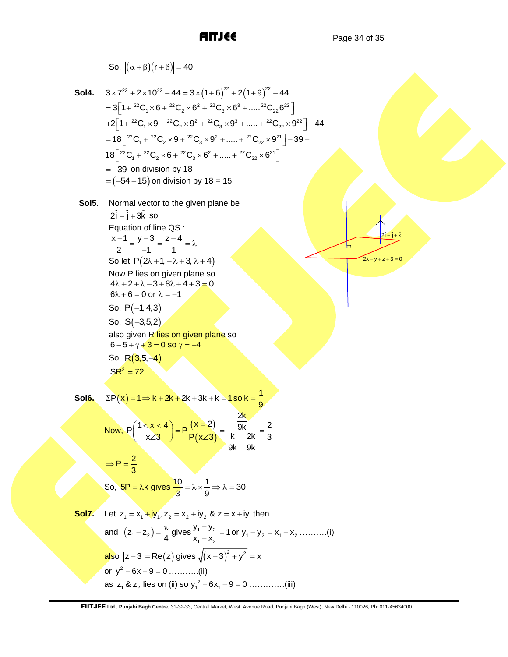$\hat{i} - \hat{i} + \hat{k}$  $2i - j + k$ 

 $2x - y + z + 3 = 0$ 

So, 
$$
|(α+β)(r+δ)| = 40
$$
  
\nSo14.  $3 \times 7^{22} + 2 \times 10^{22} - 44 = 3 \times (1+6)^{22} + 2(1+9)^{22} - 44$   
\n $= 3[1 + {^{22}C_1 \times 6 + {^{22}C_2 \times 6^2 + {^{22}C_3 \times 6^3 + ..... + {^{22}C_2 \times 6^2}}}]$   
\n $+2[1 + {^{22}C_1 \times 9 + {^{22}C_2 \times 9^2 + {^{22}C_3 \times 9^3 + ..... + {^{22}C_2 \times 9^2}}}] - 44$   
\n $= 18[ {^{22}C_1 + {^{22}C_2 \times 6 + {^{22}C_3 \times 9^2 + ..... + {^{22}C_2 \times 8^2}}}]$   
\n $= -39$  on division by 18  
\n $= (-54+15)$  on division by 18 = 15  
\nSo15. Normal vector to the given plane be  
\n $2\hat{i} - \hat{j} + 3\hat{k}$  so  
\nEquation of line QS:  
\n $\frac{x-1}{2} = \frac{y-3}{-1} = \frac{z-4}{1} = \lambda$   
\nSo, let P(2λ + 1, -λ + 3, λ + 4)  
\nNow P lies on given plane so  
\n $6\lambda + 6 = 0$  or  $\lambda = -1$   
\nSo, R(3,5, -4)  
\nS6, R(3,5, -4)  
\nS6, R(3,5, -4)  
\nS6<sup>2</sup> = 72  
\nSo16.  $\Sigma P(x) = 1 \Rightarrow k + 2k + 2k + 3k + k = 1$  so  $k = \frac{1}{9}$   
\nNow,  $P(\frac{1 \times x < 4}{x/3}) = P(\frac{x = 2}{P(x/3)}) = \frac{\frac{2k}{9k} + \frac{2k}{9k}}{9k + \frac{2k}{9k}} = \frac{2}{3}$   
\nSo, 5P =  $\lambda k$  gives  $\frac{10}{3} = \lambda \times \frac{1}{9} \Rightarrow \lambda = 30$   
\nS017. Let z

and 
$$
(z_1 - z_2) = \frac{1}{4}
$$
 gives  $\frac{z_1}{x_1 - x_2} = 1$  or  $y_1 - y_2 = x_1 - x_2$ ........  
also  $|z - 3| = \text{Re}(z)$  gives  $\sqrt{(x - 3)^2 + y^2} = x$   
or  $y^2 - 6x + 9 = 0$ ........(ii)  
as  $z_1 \& z_2$  lies on (ii) so  $y_1^2 - 6x_1 + 9 = 0$ ........(iii)